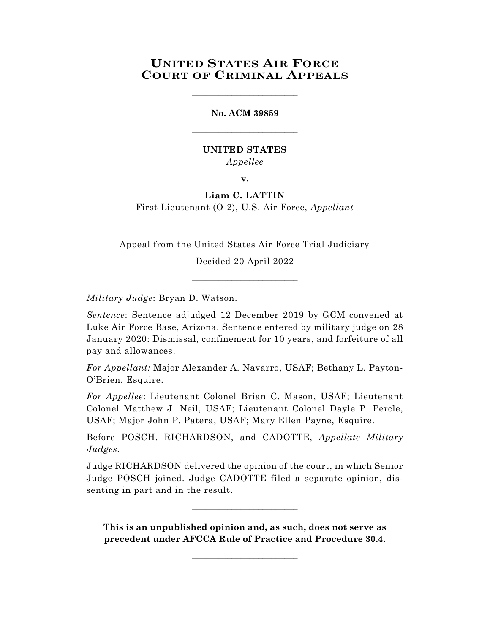# **UNITED STATES AIR FORCE COURT OF CRIMINAL APPEALS**

\_\_\_\_\_\_\_\_\_\_\_\_\_\_\_\_\_\_\_\_\_\_\_\_

# **No. ACM 39859** \_\_\_\_\_\_\_\_\_\_\_\_\_\_\_\_\_\_\_\_\_\_\_\_

### **UNITED STATES** *Appellee*

**v.**

## **Liam C. LATTIN**

First Lieutenant (O-2), U.S. Air Force, *Appellant* \_\_\_\_\_\_\_\_\_\_\_\_\_\_\_\_\_\_\_\_\_\_\_\_

Appeal from the United States Air Force Trial Judiciary

Decided 20 April 2022 \_\_\_\_\_\_\_\_\_\_\_\_\_\_\_\_\_\_\_\_\_\_\_\_

*Military Judge*: Bryan D. Watson.

*Sentence*: Sentence adjudged 12 December 2019 by GCM convened at Luke Air Force Base, Arizona. Sentence entered by military judge on 28 January 2020: Dismissal, confinement for 10 years, and forfeiture of all pay and allowances.

*For Appellant:* Major Alexander A. Navarro, USAF; Bethany L. Payton-O'Brien, Esquire.

*For Appellee*: Lieutenant Colonel Brian C. Mason, USAF; Lieutenant Colonel Matthew J. Neil, USAF; Lieutenant Colonel Dayle P. Percle, USAF; Major John P. Patera, USAF; Mary Ellen Payne, Esquire.

Before POSCH, RICHARDSON, and CADOTTE, *Appellate Military Judges.*

Judge RICHARDSON delivered the opinion of the court, in which Senior Judge POSCH joined. Judge CADOTTE filed a separate opinion, dissenting in part and in the result.

**This is an unpublished opinion and, as such, does not serve as precedent under AFCCA Rule of Practice and Procedure 30.4.**

 $\_$ 

 $\_$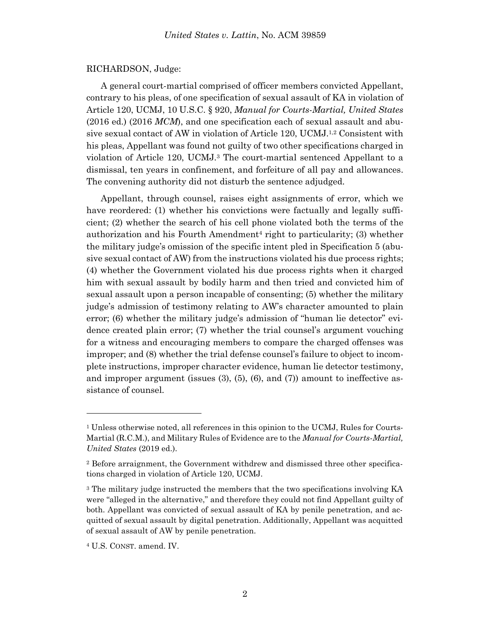#### RICHARDSON, Judge:

A general court-martial comprised of officer members convicted Appellant, contrary to his pleas, of one specification of sexual assault of KA in violation of Article 120, UCMJ, 10 U.S.C. § 920, *Manual for Courts-Martial, United States* (2016 ed.) (2016 *MCM*), and one specification each of sexual assault and abusive sexual contact of AW in violation of Article 120, UCMJ. 1,2 Consistent with his pleas, Appellant was found not guilty of two other specifications charged in violation of Article 120, UCMJ.<sup>3</sup> The court-martial sentenced Appellant to a dismissal, ten years in confinement, and forfeiture of all pay and allowances. The convening authority did not disturb the sentence adjudged.

Appellant, through counsel, raises eight assignments of error, which we have reordered: (1) whether his convictions were factually and legally sufficient; (2) whether the search of his cell phone violated both the terms of the authorization and his Fourth Amendment<sup>4</sup> right to particularity; (3) whether the military judge's omission of the specific intent pled in Specification 5 (abusive sexual contact of AW) from the instructions violated his due process rights; (4) whether the Government violated his due process rights when it charged him with sexual assault by bodily harm and then tried and convicted him of sexual assault upon a person incapable of consenting; (5) whether the military judge's admission of testimony relating to AW's character amounted to plain error; (6) whether the military judge's admission of "human lie detector" evidence created plain error; (7) whether the trial counsel's argument vouching for a witness and encouraging members to compare the charged offenses was improper; and (8) whether the trial defense counsel's failure to object to incomplete instructions, improper character evidence, human lie detector testimony, and improper argument (issues (3), (5), (6), and (7)) amount to ineffective assistance of counsel.

l

<sup>&</sup>lt;sup>1</sup> Unless otherwise noted, all references in this opinion to the UCMJ, Rules for Courts-Martial (R.C.M.), and Military Rules of Evidence are to the *Manual for Courts-Martial, United States* (2019 ed.).

<sup>2</sup> Before arraignment, the Government withdrew and dismissed three other specifications charged in violation of Article 120, UCMJ.

<sup>3</sup> The military judge instructed the members that the two specifications involving KA were "alleged in the alternative," and therefore they could not find Appellant guilty of both. Appellant was convicted of sexual assault of KA by penile penetration, and acquitted of sexual assault by digital penetration. Additionally, Appellant was acquitted of sexual assault of AW by penile penetration.

<sup>4</sup> U.S. CONST. amend. IV.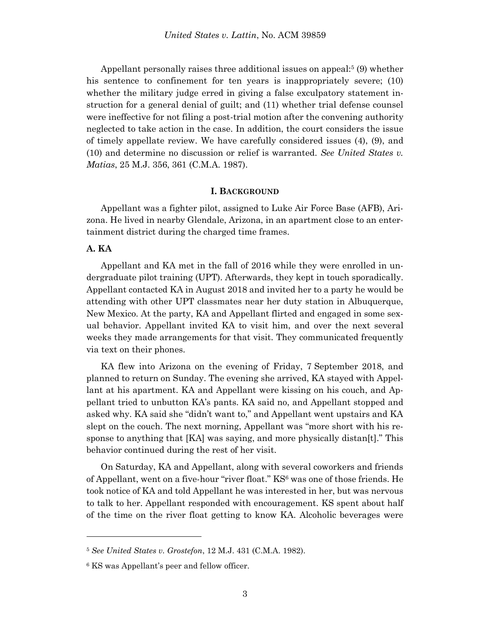Appellant personally raises three additional issues on appeal:<sup>5</sup> (9) whether his sentence to confinement for ten years is inappropriately severe; (10) whether the military judge erred in giving a false exculpatory statement instruction for a general denial of guilt; and (11) whether trial defense counsel were ineffective for not filing a post-trial motion after the convening authority neglected to take action in the case. In addition, the court considers the issue of timely appellate review. We have carefully considered issues (4), (9), and (10) and determine no discussion or relief is warranted. *See United States v. Matias*, 25 M.J. 356, 361 (C.M.A. 1987).

#### **I. BACKGROUND**

Appellant was a fighter pilot, assigned to Luke Air Force Base (AFB), Arizona. He lived in nearby Glendale, Arizona, in an apartment close to an entertainment district during the charged time frames.

### **A. KA**

l

Appellant and KA met in the fall of 2016 while they were enrolled in undergraduate pilot training (UPT). Afterwards, they kept in touch sporadically. Appellant contacted KA in August 2018 and invited her to a party he would be attending with other UPT classmates near her duty station in Albuquerque, New Mexico. At the party, KA and Appellant flirted and engaged in some sexual behavior. Appellant invited KA to visit him, and over the next several weeks they made arrangements for that visit. They communicated frequently via text on their phones.

KA flew into Arizona on the evening of Friday, 7 September 2018, and planned to return on Sunday. The evening she arrived, KA stayed with Appellant at his apartment. KA and Appellant were kissing on his couch, and Appellant tried to unbutton KA's pants. KA said no, and Appellant stopped and asked why. KA said she "didn't want to," and Appellant went upstairs and KA slept on the couch. The next morning, Appellant was "more short with his response to anything that [KA] was saying, and more physically distan[t]." This behavior continued during the rest of her visit.

On Saturday, KA and Appellant, along with several coworkers and friends of Appellant, went on a five-hour "river float." KS<sup>6</sup> was one of those friends. He took notice of KA and told Appellant he was interested in her, but was nervous to talk to her. Appellant responded with encouragement. KS spent about half of the time on the river float getting to know KA. Alcoholic beverages were

<sup>5</sup> *See United States v. Grostefon*, 12 M.J. 431 (C.M.A. 1982).

<sup>6</sup> KS was Appellant's peer and fellow officer.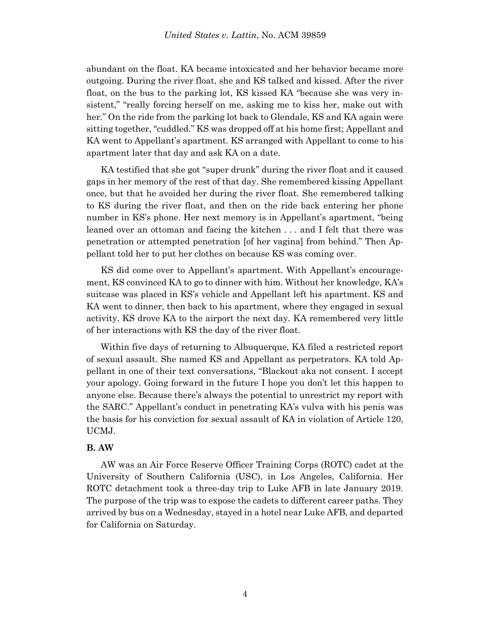abundant on the float. KA became intoxicated and her behavior became more outgoing. During the river float, she and KS talked and kissed. After the river float, on the bus to the parking lot, KS kissed KA "because she was very insistent," "really forcing herself on me, asking me to kiss her, make out with her." On the ride from the parking lot back to Glendale, KS and KA again were sitting together, "cuddled." KS was dropped off at his home first; Appellant and KA went to Appellant's apartment. KS arranged with Appellant to come to his apartment later that day and ask KA on a date.

KA testified that she got "super drunk" during the river float and it caused gaps in her memory of the rest of that day. She remembered kissing Appellant once, but that he avoided her during the river float. She remembered talking to KS during the river float, and then on the ride back entering her phone number in KS's phone. Her next memory is in Appellant's apartment, "being leaned over an ottoman and facing the kitchen . . . and I felt that there was penetration or attempted penetration [of her vagina] from behind." Then Appellant told her to put her clothes on because KS was coming over.

KS did come over to Appellant's apartment. With Appellant's encouragement, KS convinced KA to go to dinner with him. Without her knowledge, KA's suitcase was placed in KS's vehicle and Appellant left his apartment. KS and KA went to dinner, then back to his apartment, where they engaged in sexual activity. KS drove KA to the airport the next day. KA remembered very little of her interactions with KS the day of the river float.

Within five days of returning to Albuquerque, KA filed a restricted report of sexual assault. She named KS and Appellant as perpetrators. KA told Appellant in one of their text conversations, "Blackout aka not consent. I accept your apology. Going forward in the future I hope you don't let this happen to anyone else. Because there's always the potential to unrestrict my report with the SARC." Appellant's conduct in penetrating KA's vulva with his penis was the basis for his conviction for sexual assault of KA in violation of Article 120, UCMJ.

### **B. AW**

AW was an Air Force Reserve Officer Training Corps (ROTC) cadet at the University of Southern California (USC), in Los Angeles, California. Her ROTC detachment took a three-day trip to Luke AFB in late January 2019. The purpose of the trip was to expose the cadets to different career paths. They arrived by bus on a Wednesday, stayed in a hotel near Luke AFB, and departed for California on Saturday.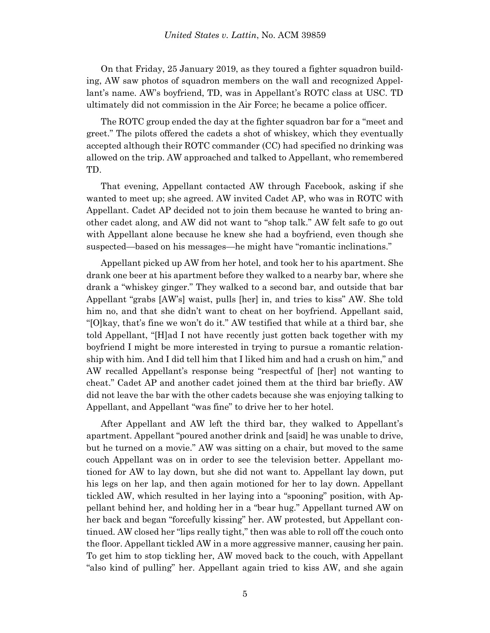On that Friday, 25 January 2019, as they toured a fighter squadron building, AW saw photos of squadron members on the wall and recognized Appellant's name. AW's boyfriend, TD, was in Appellant's ROTC class at USC. TD ultimately did not commission in the Air Force; he became a police officer.

The ROTC group ended the day at the fighter squadron bar for a "meet and greet." The pilots offered the cadets a shot of whiskey, which they eventually accepted although their ROTC commander (CC) had specified no drinking was allowed on the trip. AW approached and talked to Appellant, who remembered TD.

That evening, Appellant contacted AW through Facebook, asking if she wanted to meet up; she agreed. AW invited Cadet AP, who was in ROTC with Appellant. Cadet AP decided not to join them because he wanted to bring another cadet along, and AW did not want to "shop talk." AW felt safe to go out with Appellant alone because he knew she had a boyfriend, even though she suspected—based on his messages—he might have "romantic inclinations."

Appellant picked up AW from her hotel, and took her to his apartment. She drank one beer at his apartment before they walked to a nearby bar, where she drank a "whiskey ginger." They walked to a second bar, and outside that bar Appellant "grabs [AW's] waist, pulls [her] in, and tries to kiss" AW. She told him no, and that she didn't want to cheat on her boyfriend. Appellant said, "[O]kay, that's fine we won't do it." AW testified that while at a third bar, she told Appellant, "[H]ad I not have recently just gotten back together with my boyfriend I might be more interested in trying to pursue a romantic relationship with him. And I did tell him that I liked him and had a crush on him," and AW recalled Appellant's response being "respectful of [her] not wanting to cheat." Cadet AP and another cadet joined them at the third bar briefly. AW did not leave the bar with the other cadets because she was enjoying talking to Appellant, and Appellant "was fine" to drive her to her hotel.

After Appellant and AW left the third bar, they walked to Appellant's apartment. Appellant "poured another drink and [said] he was unable to drive, but he turned on a movie." AW was sitting on a chair, but moved to the same couch Appellant was on in order to see the television better. Appellant motioned for AW to lay down, but she did not want to. Appellant lay down, put his legs on her lap, and then again motioned for her to lay down. Appellant tickled AW, which resulted in her laying into a "spooning" position, with Appellant behind her, and holding her in a "bear hug." Appellant turned AW on her back and began "forcefully kissing" her. AW protested, but Appellant continued. AW closed her "lips really tight," then was able to roll off the couch onto the floor. Appellant tickled AW in a more aggressive manner, causing her pain. To get him to stop tickling her, AW moved back to the couch, with Appellant "also kind of pulling" her. Appellant again tried to kiss AW, and she again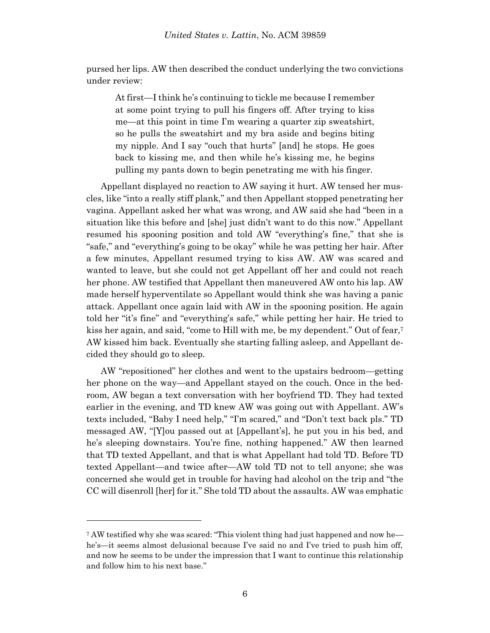pursed her lips. AW then described the conduct underlying the two convictions under review:

At first—I think he's continuing to tickle me because I remember at some point trying to pull his fingers off. After trying to kiss me—at this point in time I'm wearing a quarter zip sweatshirt, so he pulls the sweatshirt and my bra aside and begins biting my nipple. And I say "ouch that hurts" [and] he stops. He goes back to kissing me, and then while he's kissing me, he begins pulling my pants down to begin penetrating me with his finger.

Appellant displayed no reaction to AW saying it hurt. AW tensed her muscles, like "into a really stiff plank," and then Appellant stopped penetrating her vagina. Appellant asked her what was wrong, and AW said she had "been in a situation like this before and [she] just didn't want to do this now." Appellant resumed his spooning position and told AW "everything's fine," that she is "safe," and "everything's going to be okay" while he was petting her hair. After a few minutes, Appellant resumed trying to kiss AW. AW was scared and wanted to leave, but she could not get Appellant off her and could not reach her phone. AW testified that Appellant then maneuvered AW onto his lap. AW made herself hyperventilate so Appellant would think she was having a panic attack. Appellant once again laid with AW in the spooning position. He again told her "it's fine" and "everything's safe," while petting her hair. He tried to kiss her again, and said, "come to Hill with me, be my dependent." Out of fear,<sup>7</sup> AW kissed him back. Eventually she starting falling asleep, and Appellant decided they should go to sleep.

AW "repositioned" her clothes and went to the upstairs bedroom—getting her phone on the way—and Appellant stayed on the couch. Once in the bedroom, AW began a text conversation with her boyfriend TD. They had texted earlier in the evening, and TD knew AW was going out with Appellant. AW's texts included, "Baby I need help," "I'm scared," and "Don't text back pls." TD messaged AW, "[Y]ou passed out at [Appellant's], he put you in his bed, and he's sleeping downstairs. You're fine, nothing happened." AW then learned that TD texted Appellant, and that is what Appellant had told TD. Before TD texted Appellant—and twice after—AW told TD not to tell anyone; she was concerned she would get in trouble for having had alcohol on the trip and "the CC will disenroll [her] for it." She told TD about the assaults. AW was emphatic

l

<sup>7</sup> AW testified why she was scared: "This violent thing had just happened and now he he's—it seems almost delusional because I've said no and I've tried to push him off, and now he seems to be under the impression that I want to continue this relationship and follow him to his next base."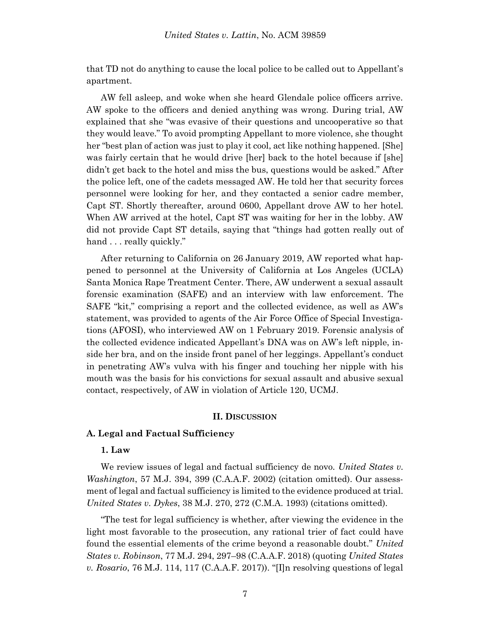that TD not do anything to cause the local police to be called out to Appellant's apartment.

AW fell asleep, and woke when she heard Glendale police officers arrive. AW spoke to the officers and denied anything was wrong. During trial, AW explained that she "was evasive of their questions and uncooperative so that they would leave." To avoid prompting Appellant to more violence, she thought her "best plan of action was just to play it cool, act like nothing happened. [She] was fairly certain that he would drive [her] back to the hotel because if [she] didn't get back to the hotel and miss the bus, questions would be asked." After the police left, one of the cadets messaged AW. He told her that security forces personnel were looking for her, and they contacted a senior cadre member, Capt ST. Shortly thereafter, around 0600, Appellant drove AW to her hotel. When AW arrived at the hotel, Capt ST was waiting for her in the lobby. AW did not provide Capt ST details, saying that "things had gotten really out of hand . . . really quickly."

After returning to California on 26 January 2019, AW reported what happened to personnel at the University of California at Los Angeles (UCLA) Santa Monica Rape Treatment Center. There, AW underwent a sexual assault forensic examination (SAFE) and an interview with law enforcement. The SAFE "kit," comprising a report and the collected evidence, as well as AW's statement, was provided to agents of the Air Force Office of Special Investigations (AFOSI), who interviewed AW on 1 February 2019. Forensic analysis of the collected evidence indicated Appellant's DNA was on AW's left nipple, inside her bra, and on the inside front panel of her leggings. Appellant's conduct in penetrating AW's vulva with his finger and touching her nipple with his mouth was the basis for his convictions for sexual assault and abusive sexual contact, respectively, of AW in violation of Article 120, UCMJ.

#### **II. DISCUSSION**

#### **A. Legal and Factual Sufficiency**

### **1. Law**

We review issues of legal and factual sufficiency de novo. *United States v. Washington*, 57 M.J. 394, 399 (C.A.A.F. 2002) (citation omitted). Our assessment of legal and factual sufficiency is limited to the evidence produced at trial. *United States v. Dykes*, 38 M.J. 270, 272 (C.M.A. 1993) (citations omitted).

"The test for legal sufficiency is whether, after viewing the evidence in the light most favorable to the prosecution, any rational trier of fact could have found the essential elements of the crime beyond a reasonable doubt." *United States v. Robinson*, 77 M.J. 294, 297–98 (C.A.A.F. 2018) (quoting *United States v. Rosario*, 76 M.J. 114, 117 (C.A.A.F. 2017)). "[I]n resolving questions of legal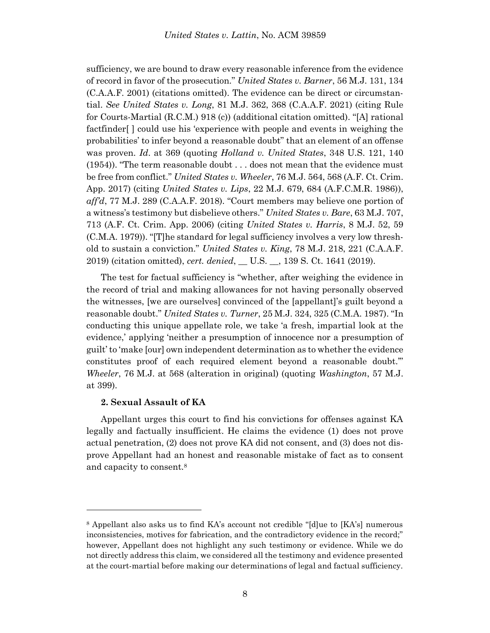sufficiency, we are bound to draw every reasonable inference from the evidence of record in favor of the prosecution." *United States v. Barner*, 56 M.J. 131, 134 (C.A.A.F. 2001) (citations omitted). The evidence can be direct or circumstantial. *See United States v. Long*, 81 M.J. 362, 368 (C.A.A.F. 2021) (citing Rule for Courts-Martial (R.C.M.) 918 (c)) (additional citation omitted). "[A] rational factfinder[ ] could use his 'experience with people and events in weighing the probabilities' to infer beyond a reasonable doubt" that an element of an offense was proven. *Id*. at 369 (quoting *Holland v. United States*, 348 U.S. 121, 140 (1954)). "The term reasonable doubt . . . does not mean that the evidence must be free from conflict." *United States v. Wheeler*, 76 M.J. 564, 568 (A.F. Ct. Crim. App. 2017) (citing *United States v. Lips*, 22 M.J. 679, 684 (A.F.C.M.R. 1986)), *aff'd*, 77 M.J. 289 (C.A.A.F. 2018). "Court members may believe one portion of a witness's testimony but disbelieve others." *United States v. Bare*, 63 M.J. 707, 713 (A.F. Ct. Crim. App. 2006) (citing *United States v. Harris*, 8 M.J. 52, 59 (C.M.A. 1979)). "[T]he standard for legal sufficiency involves a very low threshold to sustain a conviction." *United States v. King*, 78 M.J. 218, 221 (C.A.A.F. 2019) (citation omitted), *cert. denied*, \_\_ U.S. \_\_, 139 S. Ct. 1641 (2019).

The test for factual sufficiency is "whether, after weighing the evidence in the record of trial and making allowances for not having personally observed the witnesses, [we are ourselves] convinced of the [appellant]'s guilt beyond a reasonable doubt." *United States v. Turner*, 25 M.J. 324, 325 (C.M.A. 1987). "In conducting this unique appellate role, we take 'a fresh, impartial look at the evidence,' applying 'neither a presumption of innocence nor a presumption of guilt' to 'make [our] own independent determination as to whether the evidence constitutes proof of each required element beyond a reasonable doubt.'" *Wheeler*, 76 M.J. at 568 (alteration in original) (quoting *Washington*, 57 M.J. at 399).

#### **2. Sexual Assault of KA**

l

Appellant urges this court to find his convictions for offenses against KA legally and factually insufficient. He claims the evidence (1) does not prove actual penetration, (2) does not prove KA did not consent, and (3) does not disprove Appellant had an honest and reasonable mistake of fact as to consent and capacity to consent.<sup>8</sup>

<sup>8</sup> Appellant also asks us to find KA's account not credible "[d]ue to [KA's] numerous inconsistencies, motives for fabrication, and the contradictory evidence in the record;" however, Appellant does not highlight any such testimony or evidence. While we do not directly address this claim, we considered all the testimony and evidence presented at the court-martial before making our determinations of legal and factual sufficiency.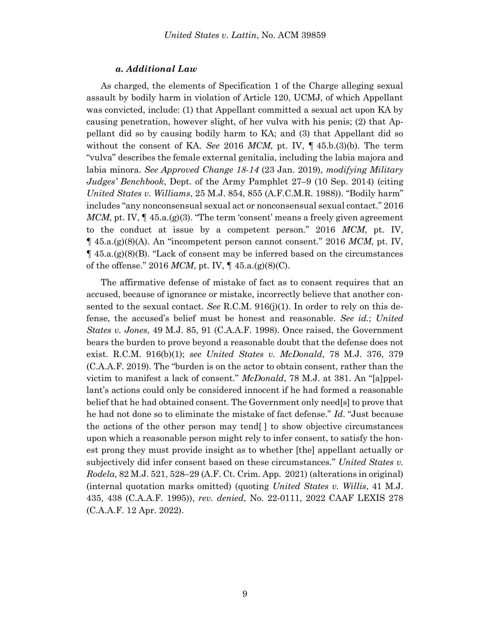#### *a. Additional Law*

As charged, the elements of Specification 1 of the Charge alleging sexual assault by bodily harm in violation of Article 120, UCMJ, of which Appellant was convicted, include: (1) that Appellant committed a sexual act upon KA by causing penetration, however slight, of her vulva with his penis; (2) that Appellant did so by causing bodily harm to KA; and (3) that Appellant did so without the consent of KA. *See* 2016 *MCM*, pt. IV, ¶ 45.b.(3)(b). The term "vulva" describes the female external genitalia, including the labia majora and labia minora. *See Approved Change 18-14* (23 Jan. 2019), *modifying Military Judges' Benchbook*, Dept. of the Army Pamphlet 27–9 (10 Sep. 2014) (citing *United States v. Williams*, 25 M.J. 854, 855 (A.F.C.M.R. 1988)). "Bodily harm" includes "any nonconsensual sexual act or nonconsensual sexual contact." 2016 *MCM*, pt. IV,  $\P$  45.a.(g)(3). "The term 'consent' means a freely given agreement to the conduct at issue by a competent person." 2016 *MCM*, pt. IV, ¶ 45.a.(g)(8)(A). An "incompetent person cannot consent." 2016 *MCM*, pt. IV,  $\P$  45.a.(g)(8)(B). "Lack of consent may be inferred based on the circumstances of the offense." 2016 *MCM*, pt. IV, ¶ 45.a.(g)(8)(C).

The affirmative defense of mistake of fact as to consent requires that an accused, because of ignorance or mistake, incorrectly believe that another consented to the sexual contact. *See* R.C.M. 916(j)(1). In order to rely on this defense, the accused's belief must be honest and reasonable. *See id.*; *United States v. Jones*, 49 M.J. 85, 91 (C.A.A.F. 1998). Once raised, the Government bears the burden to prove beyond a reasonable doubt that the defense does not exist. R.C.M. 916(b)(1); *see United States v. McDonald*, 78 M.J. 376, 379 (C.A.A.F. 2019). The "burden is on the actor to obtain consent, rather than the victim to manifest a lack of consent." *McDonald*, 78 M.J. at 381. An "[a]ppellant's actions could only be considered innocent if he had formed a reasonable belief that he had obtained consent. The Government only need[s] to prove that he had not done so to eliminate the mistake of fact defense." *Id*. "Just because the actions of the other person may tend[ ] to show objective circumstances upon which a reasonable person might rely to infer consent, to satisfy the honest prong they must provide insight as to whether [the] appellant actually or subjectively did infer consent based on these circumstances." *United States v. Rodela*, 82 M.J. 521, 528–29 (A.F. Ct. Crim. App. 2021) (alterations in original) (internal quotation marks omitted) (quoting *United States v. Willis*, 41 M.J. 435, 438 (C.A.A.F. 1995)), *rev. denied*, No. 22-0111, 2022 CAAF LEXIS 278 (C.A.A.F. 12 Apr. 2022).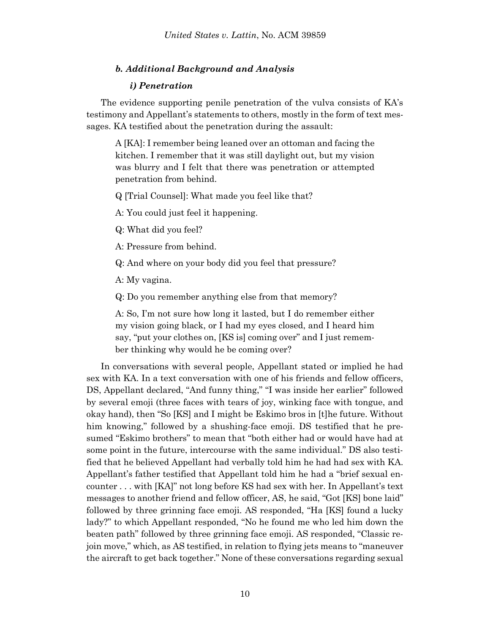## *b. Additional Background and Analysis*

### *i) Penetration*

The evidence supporting penile penetration of the vulva consists of KA's testimony and Appellant's statements to others, mostly in the form of text messages. KA testified about the penetration during the assault:

A [KA]: I remember being leaned over an ottoman and facing the kitchen. I remember that it was still daylight out, but my vision was blurry and I felt that there was penetration or attempted penetration from behind.

Q [Trial Counsel]: What made you feel like that?

A: You could just feel it happening.

Q: What did you feel?

A: Pressure from behind.

Q: And where on your body did you feel that pressure?

A: My vagina.

Q: Do you remember anything else from that memory?

A: So, I'm not sure how long it lasted, but I do remember either my vision going black, or I had my eyes closed, and I heard him say, "put your clothes on, [KS is] coming over" and I just remember thinking why would he be coming over?

In conversations with several people, Appellant stated or implied he had sex with KA. In a text conversation with one of his friends and fellow officers, DS, Appellant declared, "And funny thing," "I was inside her earlier" followed by several emoji (three faces with tears of joy, winking face with tongue, and okay hand), then "So [KS] and I might be Eskimo bros in [t]he future. Without him knowing," followed by a shushing-face emoji. DS testified that he presumed "Eskimo brothers" to mean that "both either had or would have had at some point in the future, intercourse with the same individual." DS also testified that he believed Appellant had verbally told him he had had sex with KA. Appellant's father testified that Appellant told him he had a "brief sexual encounter . . . with [KA]" not long before KS had sex with her. In Appellant's text messages to another friend and fellow officer, AS, he said, "Got [KS] bone laid" followed by three grinning face emoji. AS responded, "Ha [KS] found a lucky lady?" to which Appellant responded, "No he found me who led him down the beaten path" followed by three grinning face emoji. AS responded, "Classic rejoin move," which, as AS testified, in relation to flying jets means to "maneuver the aircraft to get back together." None of these conversations regarding sexual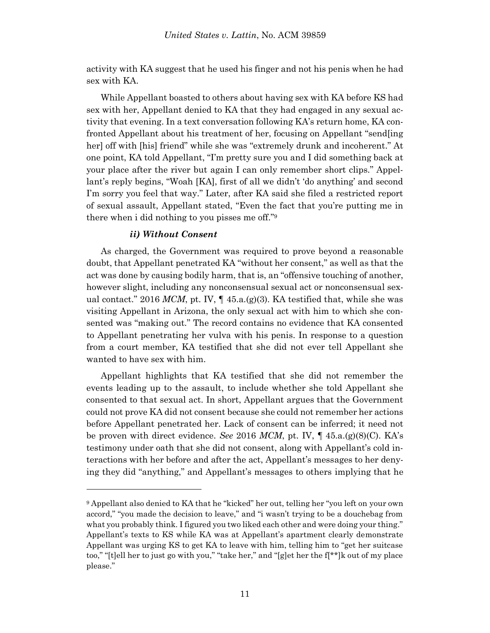activity with KA suggest that he used his finger and not his penis when he had sex with KA.

While Appellant boasted to others about having sex with KA before KS had sex with her, Appellant denied to KA that they had engaged in any sexual activity that evening. In a text conversation following KA's return home, KA confronted Appellant about his treatment of her, focusing on Appellant "send[ing her] off with [his] friend" while she was "extremely drunk and incoherent." At one point, KA told Appellant, "I'm pretty sure you and I did something back at your place after the river but again I can only remember short clips." Appellant's reply begins, "Woah [KA], first of all we didn't 'do anything' and second I'm sorry you feel that way." Later, after KA said she filed a restricted report of sexual assault, Appellant stated, "Even the fact that you're putting me in there when i did nothing to you pisses me off."<sup>9</sup>

### *ii) Without Consent*

l

As charged, the Government was required to prove beyond a reasonable doubt, that Appellant penetrated KA "without her consent," as well as that the act was done by causing bodily harm, that is, an "offensive touching of another, however slight, including any nonconsensual sexual act or nonconsensual sexual contact." 2016 *MCM*, pt. IV,  $\P$  45.a.(g)(3). KA testified that, while she was visiting Appellant in Arizona, the only sexual act with him to which she consented was "making out." The record contains no evidence that KA consented to Appellant penetrating her vulva with his penis. In response to a question from a court member, KA testified that she did not ever tell Appellant she wanted to have sex with him.

Appellant highlights that KA testified that she did not remember the events leading up to the assault, to include whether she told Appellant she consented to that sexual act. In short, Appellant argues that the Government could not prove KA did not consent because she could not remember her actions before Appellant penetrated her. Lack of consent can be inferred; it need not be proven with direct evidence. *See* 2016 *MCM*, pt. IV, ¶ 45.a.(g)(8)(C). KA's testimony under oath that she did not consent, along with Appellant's cold interactions with her before and after the act, Appellant's messages to her denying they did "anything," and Appellant's messages to others implying that he

<sup>9</sup> Appellant also denied to KA that he "kicked" her out, telling her "you left on your own accord," "you made the decision to leave," and "i wasn't trying to be a douchebag from what you probably think. I figured you two liked each other and were doing your thing." Appellant's texts to KS while KA was at Appellant's apartment clearly demonstrate Appellant was urging KS to get KA to leave with him, telling him to "get her suitcase too," "[t]ell her to just go with you," "take her," and "[g]et her the f[\*\*]k out of my place please."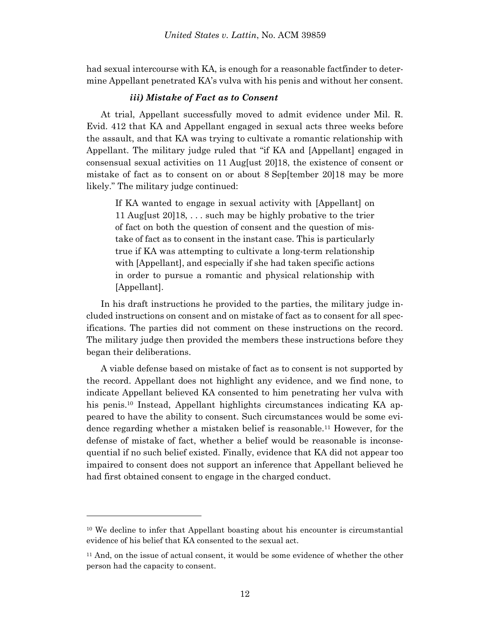had sexual intercourse with KA, is enough for a reasonable factfinder to determine Appellant penetrated KA's vulva with his penis and without her consent.

### *iii) Mistake of Fact as to Consent*

At trial, Appellant successfully moved to admit evidence under Mil. R. Evid. 412 that KA and Appellant engaged in sexual acts three weeks before the assault, and that KA was trying to cultivate a romantic relationship with Appellant. The military judge ruled that "if KA and [Appellant] engaged in consensual sexual activities on 11 Aug[ust 20]18, the existence of consent or mistake of fact as to consent on or about 8 Sep[tember 20]18 may be more likely." The military judge continued:

If KA wanted to engage in sexual activity with [Appellant] on 11 Aug[ust 20]18, . . . such may be highly probative to the trier of fact on both the question of consent and the question of mistake of fact as to consent in the instant case. This is particularly true if KA was attempting to cultivate a long-term relationship with [Appellant], and especially if she had taken specific actions in order to pursue a romantic and physical relationship with [Appellant].

In his draft instructions he provided to the parties, the military judge included instructions on consent and on mistake of fact as to consent for all specifications. The parties did not comment on these instructions on the record. The military judge then provided the members these instructions before they began their deliberations.

A viable defense based on mistake of fact as to consent is not supported by the record. Appellant does not highlight any evidence, and we find none, to indicate Appellant believed KA consented to him penetrating her vulva with his penis.<sup>10</sup> Instead, Appellant highlights circumstances indicating KA appeared to have the ability to consent. Such circumstances would be some evidence regarding whether a mistaken belief is reasonable.<sup>11</sup> However, for the defense of mistake of fact, whether a belief would be reasonable is inconsequential if no such belief existed. Finally, evidence that KA did not appear too impaired to consent does not support an inference that Appellant believed he had first obtained consent to engage in the charged conduct.

l

<sup>10</sup> We decline to infer that Appellant boasting about his encounter is circumstantial evidence of his belief that KA consented to the sexual act.

<sup>&</sup>lt;sup>11</sup> And, on the issue of actual consent, it would be some evidence of whether the other person had the capacity to consent.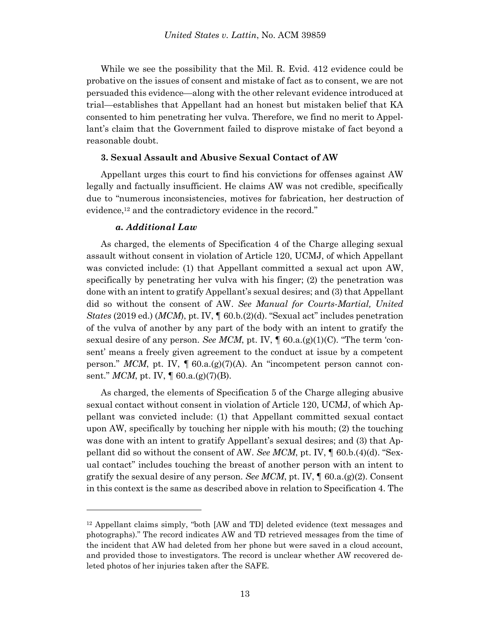While we see the possibility that the Mil. R. Evid. 412 evidence could be probative on the issues of consent and mistake of fact as to consent, we are not persuaded this evidence—along with the other relevant evidence introduced at trial—establishes that Appellant had an honest but mistaken belief that KA consented to him penetrating her vulva. Therefore, we find no merit to Appellant's claim that the Government failed to disprove mistake of fact beyond a reasonable doubt.

#### **3. Sexual Assault and Abusive Sexual Contact of AW**

Appellant urges this court to find his convictions for offenses against AW legally and factually insufficient. He claims AW was not credible, specifically due to "numerous inconsistencies, motives for fabrication, her destruction of evidence,<sup>12</sup> and the contradictory evidence in the record."

#### *a. Additional Law*

l

As charged, the elements of Specification 4 of the Charge alleging sexual assault without consent in violation of Article 120, UCMJ, of which Appellant was convicted include: (1) that Appellant committed a sexual act upon AW, specifically by penetrating her vulva with his finger; (2) the penetration was done with an intent to gratify Appellant's sexual desires; and (3) that Appellant did so without the consent of AW. *See Manual for Courts-Martial, United States* (2019 ed.) (*MCM*), pt. IV, ¶ 60.b.(2)(d). "Sexual act" includes penetration of the vulva of another by any part of the body with an intent to gratify the sexual desire of any person. *See MCM*, pt. IV,  $\parallel$  60.a.(g)(1)(C). "The term 'consent' means a freely given agreement to the conduct at issue by a competent person." *MCM*, pt. IV,  $\parallel$  60.a.(g)(7)(A). An "incompetent person cannot consent." *MCM*, pt. IV,  $\llbracket 60.a.(g)(7)(B)$ .

As charged, the elements of Specification 5 of the Charge alleging abusive sexual contact without consent in violation of Article 120, UCMJ, of which Appellant was convicted include: (1) that Appellant committed sexual contact upon AW, specifically by touching her nipple with his mouth; (2) the touching was done with an intent to gratify Appellant's sexual desires; and (3) that Appellant did so without the consent of AW. *See MCM*, pt. IV, ¶ 60.b.(4)(d). "Sexual contact" includes touching the breast of another person with an intent to gratify the sexual desire of any person. *See MCM*, pt. IV,  $\oint$  60.a.(g)(2). Consent in this context is the same as described above in relation to Specification 4. The

<sup>12</sup> Appellant claims simply, "both [AW and TD] deleted evidence (text messages and photographs)." The record indicates AW and TD retrieved messages from the time of the incident that AW had deleted from her phone but were saved in a cloud account, and provided those to investigators. The record is unclear whether AW recovered deleted photos of her injuries taken after the SAFE.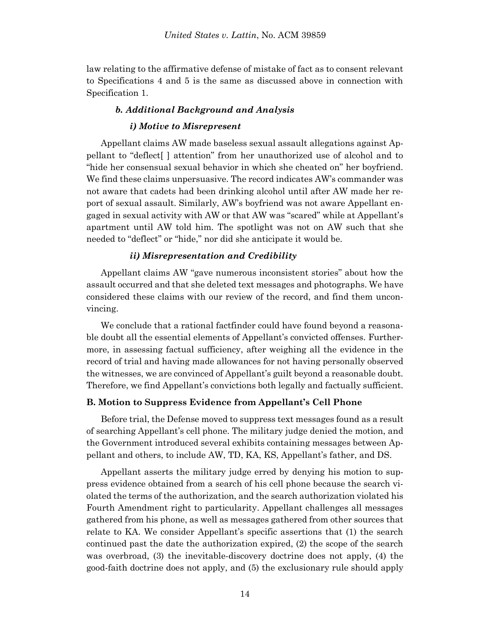law relating to the affirmative defense of mistake of fact as to consent relevant to Specifications 4 and 5 is the same as discussed above in connection with Specification 1.

## *b. Additional Background and Analysis*

#### *i) Motive to Misrepresent*

Appellant claims AW made baseless sexual assault allegations against Appellant to "deflect[ ] attention" from her unauthorized use of alcohol and to "hide her consensual sexual behavior in which she cheated on" her boyfriend. We find these claims unpersuasive. The record indicates AW's commander was not aware that cadets had been drinking alcohol until after AW made her report of sexual assault. Similarly, AW's boyfriend was not aware Appellant engaged in sexual activity with AW or that AW was "scared" while at Appellant's apartment until AW told him. The spotlight was not on AW such that she needed to "deflect" or "hide," nor did she anticipate it would be.

#### *ii) Misrepresentation and Credibility*

Appellant claims AW "gave numerous inconsistent stories" about how the assault occurred and that she deleted text messages and photographs. We have considered these claims with our review of the record, and find them unconvincing.

We conclude that a rational factfinder could have found beyond a reasonable doubt all the essential elements of Appellant's convicted offenses. Furthermore, in assessing factual sufficiency, after weighing all the evidence in the record of trial and having made allowances for not having personally observed the witnesses, we are convinced of Appellant's guilt beyond a reasonable doubt. Therefore, we find Appellant's convictions both legally and factually sufficient.

#### **B. Motion to Suppress Evidence from Appellant's Cell Phone**

Before trial, the Defense moved to suppress text messages found as a result of searching Appellant's cell phone. The military judge denied the motion, and the Government introduced several exhibits containing messages between Appellant and others, to include AW, TD, KA, KS, Appellant's father, and DS.

Appellant asserts the military judge erred by denying his motion to suppress evidence obtained from a search of his cell phone because the search violated the terms of the authorization, and the search authorization violated his Fourth Amendment right to particularity. Appellant challenges all messages gathered from his phone, as well as messages gathered from other sources that relate to KA. We consider Appellant's specific assertions that (1) the search continued past the date the authorization expired, (2) the scope of the search was overbroad, (3) the inevitable-discovery doctrine does not apply, (4) the good-faith doctrine does not apply, and (5) the exclusionary rule should apply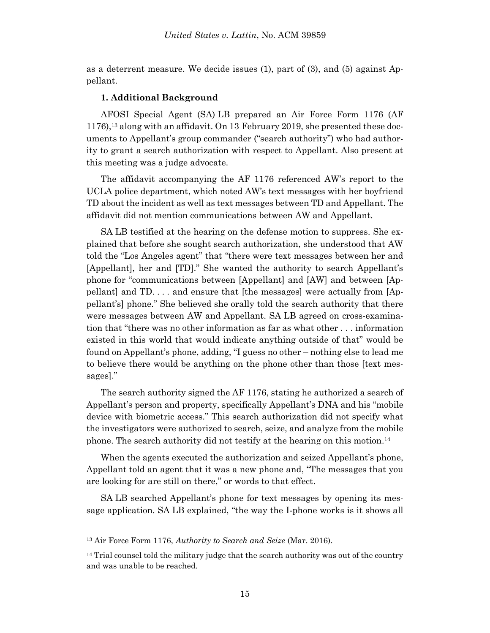as a deterrent measure. We decide issues (1), part of (3), and (5) against Appellant.

#### **1. Additional Background**

AFOSI Special Agent (SA) LB prepared an Air Force Form 1176 (AF 1176), <sup>13</sup> along with an affidavit. On 13 February 2019, she presented these documents to Appellant's group commander ("search authority") who had authority to grant a search authorization with respect to Appellant. Also present at this meeting was a judge advocate.

The affidavit accompanying the AF 1176 referenced AW's report to the UCLA police department, which noted AW's text messages with her boyfriend TD about the incident as well as text messages between TD and Appellant. The affidavit did not mention communications between AW and Appellant.

SA LB testified at the hearing on the defense motion to suppress. She explained that before she sought search authorization, she understood that AW told the "Los Angeles agent" that "there were text messages between her and [Appellant], her and [TD]." She wanted the authority to search Appellant's phone for "communications between [Appellant] and [AW] and between [Appellant] and TD. . . . and ensure that [the messages] were actually from [Appellant's] phone." She believed she orally told the search authority that there were messages between AW and Appellant. SA LB agreed on cross-examination that "there was no other information as far as what other . . . information existed in this world that would indicate anything outside of that" would be found on Appellant's phone, adding, "I guess no other – nothing else to lead me to believe there would be anything on the phone other than those [text messages]."

The search authority signed the AF 1176, stating he authorized a search of Appellant's person and property, specifically Appellant's DNA and his "mobile device with biometric access." This search authorization did not specify what the investigators were authorized to search, seize, and analyze from the mobile phone. The search authority did not testify at the hearing on this motion. 14

When the agents executed the authorization and seized Appellant's phone, Appellant told an agent that it was a new phone and, "The messages that you are looking for are still on there," or words to that effect.

SA LB searched Appellant's phone for text messages by opening its message application. SA LB explained, "the way the I-phone works is it shows all

l

<sup>13</sup> Air Force Form 1176, *Authority to Search and Seize* (Mar. 2016).

 $14$  Trial counsel told the military judge that the search authority was out of the country and was unable to be reached.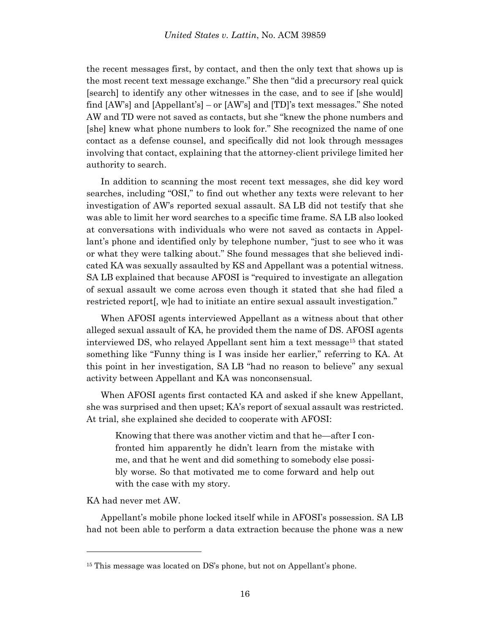the recent messages first, by contact, and then the only text that shows up is the most recent text message exchange." She then "did a precursory real quick [search] to identify any other witnesses in the case, and to see if [she would] find [AW's] and [Appellant's] – or [AW's] and [TD]'s text messages." She noted AW and TD were not saved as contacts, but she "knew the phone numbers and [she] knew what phone numbers to look for." She recognized the name of one contact as a defense counsel, and specifically did not look through messages involving that contact, explaining that the attorney-client privilege limited her authority to search.

In addition to scanning the most recent text messages, she did key word searches, including "OSI," to find out whether any texts were relevant to her investigation of AW's reported sexual assault. SA LB did not testify that she was able to limit her word searches to a specific time frame. SA LB also looked at conversations with individuals who were not saved as contacts in Appellant's phone and identified only by telephone number, "just to see who it was or what they were talking about." She found messages that she believed indicated KA was sexually assaulted by KS and Appellant was a potential witness. SA LB explained that because AFOSI is "required to investigate an allegation of sexual assault we come across even though it stated that she had filed a restricted report[, w]e had to initiate an entire sexual assault investigation."

When AFOSI agents interviewed Appellant as a witness about that other alleged sexual assault of KA, he provided them the name of DS. AFOSI agents interviewed DS, who relayed Appellant sent him a text message<sup>15</sup> that stated something like "Funny thing is I was inside her earlier," referring to KA. At this point in her investigation, SA LB "had no reason to believe" any sexual activity between Appellant and KA was nonconsensual.

When AFOSI agents first contacted KA and asked if she knew Appellant, she was surprised and then upset; KA's report of sexual assault was restricted. At trial, she explained she decided to cooperate with AFOSI:

Knowing that there was another victim and that he—after I confronted him apparently he didn't learn from the mistake with me, and that he went and did something to somebody else possibly worse. So that motivated me to come forward and help out with the case with my story.

KA had never met AW.

l

Appellant's mobile phone locked itself while in AFOSI's possession. SA LB had not been able to perform a data extraction because the phone was a new

<sup>&</sup>lt;sup>15</sup> This message was located on DS's phone, but not on Appellant's phone.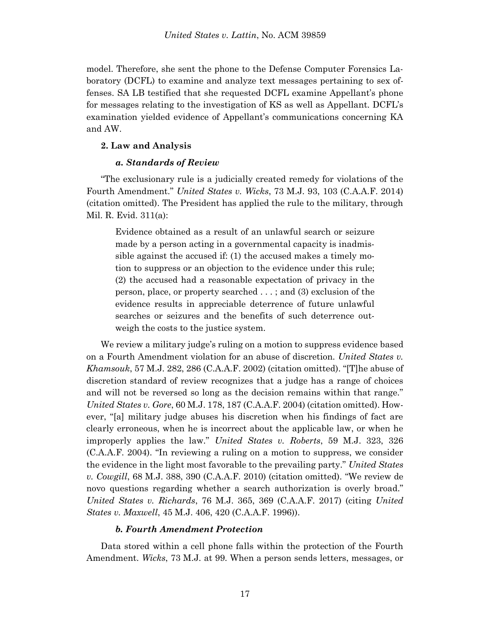model. Therefore, she sent the phone to the Defense Computer Forensics Laboratory (DCFL) to examine and analyze text messages pertaining to sex offenses. SA LB testified that she requested DCFL examine Appellant's phone for messages relating to the investigation of KS as well as Appellant. DCFL's examination yielded evidence of Appellant's communications concerning KA and AW.

#### **2. Law and Analysis**

### *a. Standards of Review*

"The exclusionary rule is a judicially created remedy for violations of the Fourth Amendment." *United States v. Wicks*, 73 M.J. 93, 103 (C.A.A.F. 2014) (citation omitted). The President has applied the rule to the military, through Mil. R. Evid. 311(a):

Evidence obtained as a result of an unlawful search or seizure made by a person acting in a governmental capacity is inadmissible against the accused if: (1) the accused makes a timely motion to suppress or an objection to the evidence under this rule; (2) the accused had a reasonable expectation of privacy in the person, place, or property searched . . . ; and (3) exclusion of the evidence results in appreciable deterrence of future unlawful searches or seizures and the benefits of such deterrence outweigh the costs to the justice system.

We review a military judge's ruling on a motion to suppress evidence based on a Fourth Amendment violation for an abuse of discretion. *United States v. Khamsouk*, 57 M.J. 282, 286 (C.A.A.F. 2002) (citation omitted). "[T]he abuse of discretion standard of review recognizes that a judge has a range of choices and will not be reversed so long as the decision remains within that range." *United States v. Gore*, 60 M.J. 178, 187 (C.A.A.F. 2004) (citation omitted). However, "[a] military judge abuses his discretion when his findings of fact are clearly erroneous, when he is incorrect about the applicable law, or when he improperly applies the law." *United States v. Roberts*, 59 M.J. 323, 326 (C.A.A.F. 2004). "In reviewing a ruling on a motion to suppress, we consider the evidence in the light most favorable to the prevailing party." *United States v. Cowgill*, 68 M.J. 388, 390 (C.A.A.F. 2010) (citation omitted). "We review de novo questions regarding whether a search authorization is overly broad." *United States v. Richards*, 76 M.J. 365, 369 (C.A.A.F. 2017) (citing *United States v. Maxwell*, 45 M.J. 406, 420 (C.A.A.F. 1996)).

#### *b. Fourth Amendment Protection*

Data stored within a cell phone falls within the protection of the Fourth Amendment. *Wicks*, 73 M.J. at 99. When a person sends letters, messages, or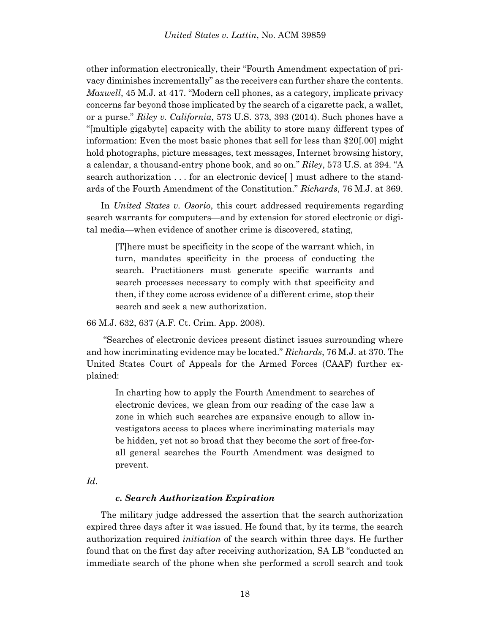other information electronically, their "Fourth Amendment expectation of privacy diminishes incrementally" as the receivers can further share the contents. *Maxwell*, 45 M.J. at 417. "Modern cell phones, as a category, implicate privacy concerns far beyond those implicated by the search of a cigarette pack, a wallet, or a purse." *Riley v. California*, 573 U.S. 373, 393 (2014). Such phones have a "[multiple gigabyte] capacity with the ability to store many different types of information: Even the most basic phones that sell for less than \$20[.00] might hold photographs, picture messages, text messages, Internet browsing history, a calendar, a thousand-entry phone book, and so on." *Riley*, 573 U.S. at 394. "A search authorization . . . for an electronic device[ ] must adhere to the standards of the Fourth Amendment of the Constitution." *Richards*, 76 M.J. at 369.

In *United States v. Osorio*, this court addressed requirements regarding search warrants for computers—and by extension for stored electronic or digital media—when evidence of another crime is discovered, stating,

[T]here must be specificity in the scope of the warrant which, in turn, mandates specificity in the process of conducting the search. Practitioners must generate specific warrants and search processes necessary to comply with that specificity and then, if they come across evidence of a different crime, stop their search and seek a new authorization.

66 M.J. 632, 637 (A.F. Ct. Crim. App. 2008).

"Searches of electronic devices present distinct issues surrounding where and how incriminating evidence may be located." *Richards*, 76 M.J. at 370. The United States Court of Appeals for the Armed Forces (CAAF) further explained:

In charting how to apply the Fourth Amendment to searches of electronic devices, we glean from our reading of the case law a zone in which such searches are expansive enough to allow investigators access to places where incriminating materials may be hidden, yet not so broad that they become the sort of free-forall general searches the Fourth Amendment was designed to prevent.

*Id*.

### *c. Search Authorization Expiration*

The military judge addressed the assertion that the search authorization expired three days after it was issued. He found that, by its terms, the search authorization required *initiation* of the search within three days. He further found that on the first day after receiving authorization, SA LB "conducted an immediate search of the phone when she performed a scroll search and took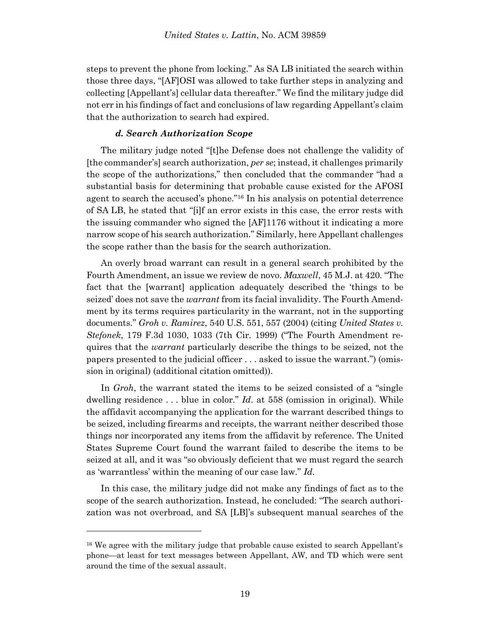steps to prevent the phone from locking." As SA LB initiated the search within those three days, "[AF]OSI was allowed to take further steps in analyzing and collecting [Appellant's] cellular data thereafter." We find the military judge did not err in his findings of fact and conclusions of law regarding Appellant's claim that the authorization to search had expired.

#### *d. Search Authorization Scope*

The military judge noted "[t]he Defense does not challenge the validity of [the commander's] search authorization, *per se*; instead, it challenges primarily the scope of the authorizations," then concluded that the commander "had a substantial basis for determining that probable cause existed for the AFOSI agent to search the accused's phone."<sup>16</sup> In his analysis on potential deterrence of SA LB, he stated that "[i]f an error exists in this case, the error rests with the issuing commander who signed the [AF]1176 without it indicating a more narrow scope of his search authorization." Similarly, here Appellant challenges the scope rather than the basis for the search authorization.

An overly broad warrant can result in a general search prohibited by the Fourth Amendment, an issue we review de novo. *Maxwell*, 45 M.J. at 420. "The fact that the [warrant] application adequately described the 'things to be seized' does not save the *warrant* from its facial invalidity. The Fourth Amendment by its terms requires particularity in the warrant, not in the supporting documents." *Groh v. Ramirez*, 540 U.S. 551, 557 (2004) (citing *United States v. Stefonek*, 179 F.3d 1030, 1033 (7th Cir. 1999) ("The Fourth Amendment requires that the *warrant* particularly describe the things to be seized, not the papers presented to the judicial officer . . . asked to issue the warrant.") (omission in original) (additional citation omitted)).

In *Groh*, the warrant stated the items to be seized consisted of a "single dwelling residence . . . blue in color." *Id*. at 558 (omission in original). While the affidavit accompanying the application for the warrant described things to be seized, including firearms and receipts, the warrant neither described those things nor incorporated any items from the affidavit by reference. The United States Supreme Court found the warrant failed to describe the items to be seized at all, and it was "so obviously deficient that we must regard the search as 'warrantless' within the meaning of our case law." *Id*.

In this case, the military judge did not make any findings of fact as to the scope of the search authorization. Instead, he concluded: "The search authorization was not overbroad, and SA [LB]'s subsequent manual searches of the

l

<sup>&</sup>lt;sup>16</sup> We agree with the military judge that probable cause existed to search Appellant's phone—at least for text messages between Appellant, AW, and TD which were sent around the time of the sexual assault.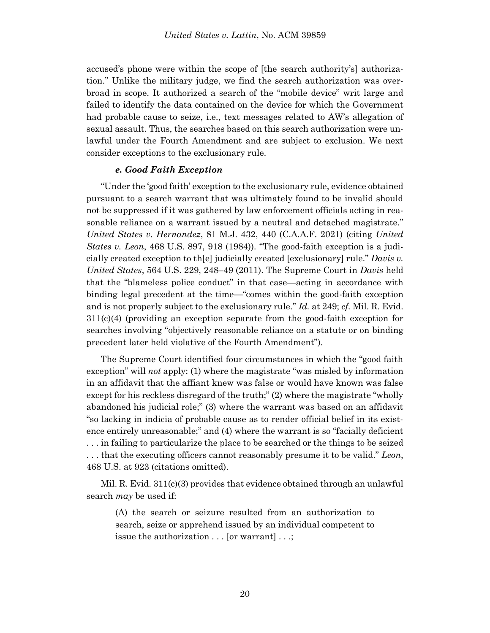accused's phone were within the scope of [the search authority's] authorization." Unlike the military judge, we find the search authorization was overbroad in scope. It authorized a search of the "mobile device" writ large and failed to identify the data contained on the device for which the Government had probable cause to seize, i.e., text messages related to AW's allegation of sexual assault. Thus, the searches based on this search authorization were unlawful under the Fourth Amendment and are subject to exclusion. We next consider exceptions to the exclusionary rule.

#### *e. Good Faith Exception*

"Under the 'good faith' exception to the exclusionary rule, evidence obtained pursuant to a search warrant that was ultimately found to be invalid should not be suppressed if it was gathered by law enforcement officials acting in reasonable reliance on a warrant issued by a neutral and detached magistrate." *United States v. Hernandez*, 81 M.J. 432, 440 (C.A.A.F. 2021) (citing *United States v. Leon*, 468 U.S. 897, 918 (1984)). "The good-faith exception is a judicially created exception to th[e] judicially created [exclusionary] rule." *Davis v. United States*, 564 U.S. 229, 248–49 (2011). The Supreme Court in *Davis* held that the "blameless police conduct" in that case—acting in accordance with binding legal precedent at the time—"comes within the good-faith exception and is not properly subject to the exclusionary rule." *Id.* at 249; *cf.* Mil. R. Evid.  $311(c)(4)$  (providing an exception separate from the good-faith exception for searches involving "objectively reasonable reliance on a statute or on binding precedent later held violative of the Fourth Amendment").

The Supreme Court identified four circumstances in which the "good faith exception" will *not* apply: (1) where the magistrate "was misled by information in an affidavit that the affiant knew was false or would have known was false except for his reckless disregard of the truth;" (2) where the magistrate "wholly abandoned his judicial role;" (3) where the warrant was based on an affidavit "so lacking in indicia of probable cause as to render official belief in its existence entirely unreasonable;" and (4) where the warrant is so "facially deficient . . . in failing to particularize the place to be searched or the things to be seized . . . that the executing officers cannot reasonably presume it to be valid." *Leon*, 468 U.S. at 923 (citations omitted).

Mil. R. Evid. 311(c)(3) provides that evidence obtained through an unlawful search *may* be used if:

(A) the search or seizure resulted from an authorization to search, seize or apprehend issued by an individual competent to issue the authorization . . . [or warrant] . . .;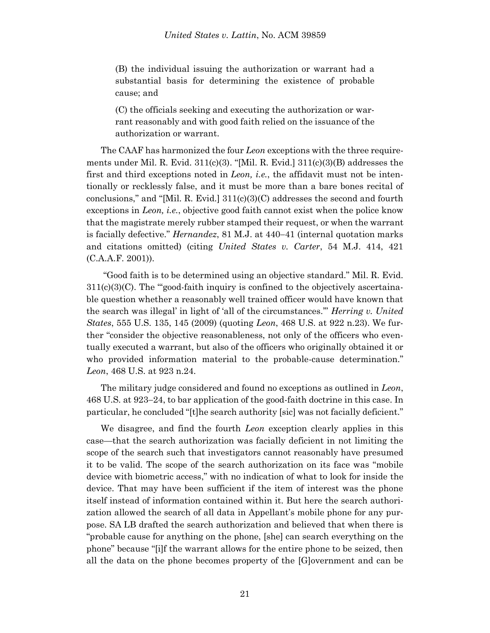(B) the individual issuing the authorization or warrant had a substantial basis for determining the existence of probable cause; and

(C) the officials seeking and executing the authorization or warrant reasonably and with good faith relied on the issuance of the authorization or warrant.

The CAAF has harmonized the four *Leon* exceptions with the three requirements under Mil. R. Evid.  $311(c)(3)$ . "[Mil. R. Evid.]  $311(c)(3)(B)$  addresses the first and third exceptions noted in *Leon, i.e.*, the affidavit must not be intentionally or recklessly false, and it must be more than a bare bones recital of conclusions," and "[Mil. R. Evid.]  $311(c)(3)(C)$  addresses the second and fourth exceptions in *Leon, i.e.*, objective good faith cannot exist when the police know that the magistrate merely rubber stamped their request, or when the warrant is facially defective." *Hernandez*, 81 M.J. at 440–41 (internal quotation marks and citations omitted) (citing *United States v. Carter*, 54 M.J. 414, 421 (C.A.A.F. 2001)).

"Good faith is to be determined using an objective standard." Mil. R. Evid.  $311(c)(3)(C)$ . The "good-faith inquiry is confined to the objectively ascertainable question whether a reasonably well trained officer would have known that the search was illegal' in light of 'all of the circumstances.'" *Herring v. United States*, 555 U.S. 135, 145 (2009) (quoting *Leon*, 468 U.S. at 922 n.23). We further "consider the objective reasonableness, not only of the officers who eventually executed a warrant, but also of the officers who originally obtained it or who provided information material to the probable-cause determination." *Leon*, 468 U.S. at 923 n.24.

The military judge considered and found no exceptions as outlined in *Leon*, 468 U.S. at 923–24, to bar application of the good-faith doctrine in this case. In particular, he concluded "[t]he search authority [sic] was not facially deficient."

We disagree, and find the fourth *Leon* exception clearly applies in this case—that the search authorization was facially deficient in not limiting the scope of the search such that investigators cannot reasonably have presumed it to be valid. The scope of the search authorization on its face was "mobile device with biometric access," with no indication of what to look for inside the device. That may have been sufficient if the item of interest was the phone itself instead of information contained within it. But here the search authorization allowed the search of all data in Appellant's mobile phone for any purpose. SA LB drafted the search authorization and believed that when there is "probable cause for anything on the phone, [she] can search everything on the phone" because "[i]f the warrant allows for the entire phone to be seized, then all the data on the phone becomes property of the [G]overnment and can be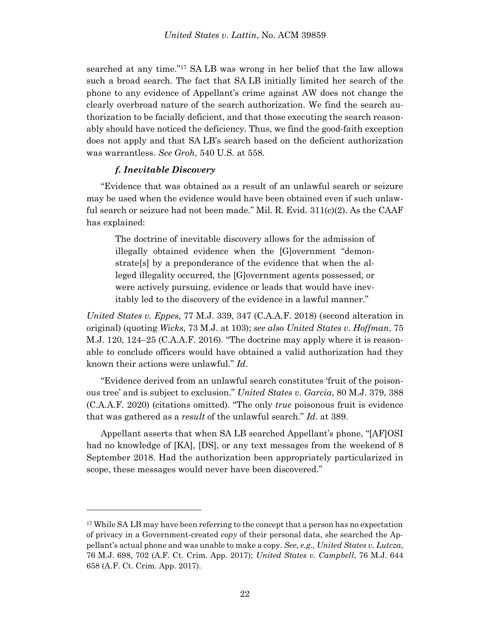searched at any time."<sup>17</sup> SA LB was wrong in her belief that the law allows such a broad search. The fact that SA LB initially limited her search of the phone to any evidence of Appellant's crime against AW does not change the clearly overbroad nature of the search authorization. We find the search authorization to be facially deficient, and that those executing the search reasonably should have noticed the deficiency. Thus, we find the good-faith exception does not apply and that SA LB's search based on the deficient authorization was warrantless. *See Groh*, 540 U.S. at 558.

### *f. Inevitable Discovery*

l

"Evidence that was obtained as a result of an unlawful search or seizure may be used when the evidence would have been obtained even if such unlawful search or seizure had not been made." Mil. R. Evid. 311(c)(2). As the CAAF has explained:

The doctrine of inevitable discovery allows for the admission of illegally obtained evidence when the [G]overnment "demonstrate[s] by a preponderance of the evidence that when the alleged illegality occurred, the [G]overnment agents possessed, or were actively pursuing, evidence or leads that would have inevitably led to the discovery of the evidence in a lawful manner."

*United States v. Eppes*, 77 M.J. 339, 347 (C.A.A.F. 2018) (second alteration in original) (quoting *Wicks*, 73 M.J. at 103); *see also United States v. Hoffman*, 75 M.J. 120, 124 $-25$  (C.A.A.F. 2016). "The doctrine may apply where it is reasonable to conclude officers would have obtained a valid authorization had they known their actions were unlawful." *Id*.

"Evidence derived from an unlawful search constitutes 'fruit of the poisonous tree' and is subject to exclusion." *United States v. Garcia*, 80 M.J. 379, 388 (C.A.A.F. 2020) (citations omitted). "The only *true* poisonous fruit is evidence that was gathered as a *result* of the unlawful search." *Id*. at 389.

Appellant asserts that when SA LB searched Appellant's phone, "[AF]OSI had no knowledge of [KA], [DS], or any text messages from the weekend of 8 September 2018. Had the authorization been appropriately particularized in scope, these messages would never have been discovered."

<sup>&</sup>lt;sup>17</sup> While SA LB may have been referring to the concept that a person has no expectation of privacy in a Government-created *copy* of their personal data, she searched the Appellant's actual phone and was unable to make a copy. *See, e.g., United States v. Lutcza*, 76 M.J. 698, 702 (A.F. Ct. Crim. App. 2017); *United States v. Campbell*, 76 M.J. 644 658 (A.F. Ct. Crim. App. 2017).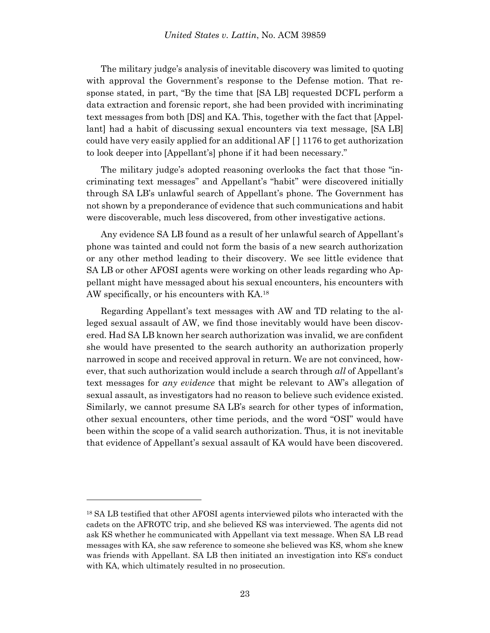The military judge's analysis of inevitable discovery was limited to quoting with approval the Government's response to the Defense motion. That response stated, in part, "By the time that [SA LB] requested DCFL perform a data extraction and forensic report, she had been provided with incriminating text messages from both [DS] and KA. This, together with the fact that [Appellant] had a habit of discussing sexual encounters via text message, [SA LB] could have very easily applied for an additional AF  $\lceil$  1176 to get authorization to look deeper into [Appellant's] phone if it had been necessary."

The military judge's adopted reasoning overlooks the fact that those "incriminating text messages" and Appellant's "habit" were discovered initially through SA LB's unlawful search of Appellant's phone. The Government has not shown by a preponderance of evidence that such communications and habit were discoverable, much less discovered, from other investigative actions.

Any evidence SA LB found as a result of her unlawful search of Appellant's phone was tainted and could not form the basis of a new search authorization or any other method leading to their discovery. We see little evidence that SA LB or other AFOSI agents were working on other leads regarding who Appellant might have messaged about his sexual encounters, his encounters with AW specifically, or his encounters with KA. 18

Regarding Appellant's text messages with AW and TD relating to the alleged sexual assault of AW, we find those inevitably would have been discovered. Had SA LB known her search authorization was invalid, we are confident she would have presented to the search authority an authorization properly narrowed in scope and received approval in return. We are not convinced, however, that such authorization would include a search through *all* of Appellant's text messages for *any evidence* that might be relevant to AW's allegation of sexual assault, as investigators had no reason to believe such evidence existed. Similarly, we cannot presume SA LB's search for other types of information, other sexual encounters, other time periods, and the word "OSI" would have been within the scope of a valid search authorization. Thus, it is not inevitable that evidence of Appellant's sexual assault of KA would have been discovered.

l

<sup>18</sup> SA LB testified that other AFOSI agents interviewed pilots who interacted with the cadets on the AFROTC trip, and she believed KS was interviewed. The agents did not ask KS whether he communicated with Appellant via text message. When SA LB read messages with KA, she saw reference to someone she believed was KS, whom she knew was friends with Appellant. SA LB then initiated an investigation into KS's conduct with KA, which ultimately resulted in no prosecution.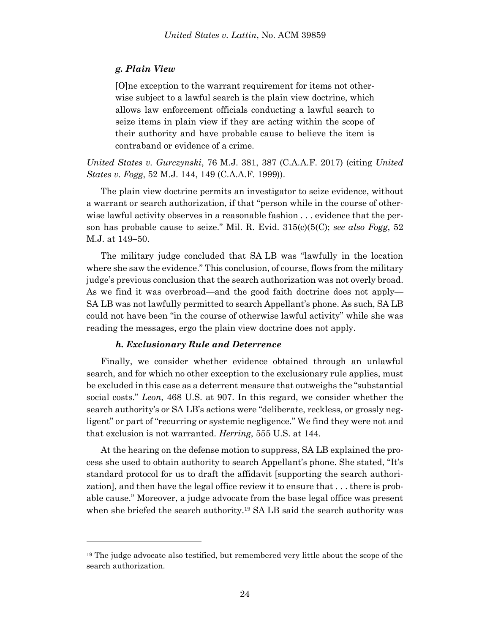### *g. Plain View*

[O]ne exception to the warrant requirement for items not otherwise subject to a lawful search is the plain view doctrine, which allows law enforcement officials conducting a lawful search to seize items in plain view if they are acting within the scope of their authority and have probable cause to believe the item is contraband or evidence of a crime.

*United States v. Gurczynski*, 76 M.J. 381, 387 (C.A.A.F. 2017) (citing *United States v. Fogg*, 52 M.J. 144, 149 (C.A.A.F. 1999)).

The plain view doctrine permits an investigator to seize evidence, without a warrant or search authorization, if that "person while in the course of otherwise lawful activity observes in a reasonable fashion . . . evidence that the person has probable cause to seize." Mil. R. Evid. 315(c)(5(C); *see also Fogg*, 52 M.J. at 149-50.

The military judge concluded that SA LB was "lawfully in the location where she saw the evidence." This conclusion, of course, flows from the military judge's previous conclusion that the search authorization was not overly broad. As we find it was overbroad—and the good faith doctrine does not apply— SA LB was not lawfully permitted to search Appellant's phone. As such, SA LB could not have been "in the course of otherwise lawful activity" while she was reading the messages, ergo the plain view doctrine does not apply.

### *h. Exclusionary Rule and Deterrence*

l

Finally, we consider whether evidence obtained through an unlawful search, and for which no other exception to the exclusionary rule applies, must be excluded in this case as a deterrent measure that outweighs the "substantial social costs." *Leon*, 468 U.S. at 907. In this regard, we consider whether the search authority's or SA LB's actions were "deliberate, reckless, or grossly negligent" or part of "recurring or systemic negligence." We find they were not and that exclusion is not warranted. *Herring*, 555 U.S. at 144.

At the hearing on the defense motion to suppress, SA LB explained the process she used to obtain authority to search Appellant's phone. She stated, "It's standard protocol for us to draft the affidavit [supporting the search authorization], and then have the legal office review it to ensure that . . . there is probable cause." Moreover, a judge advocate from the base legal office was present when she briefed the search authority.<sup>19</sup> SA LB said the search authority was

<sup>&</sup>lt;sup>19</sup> The judge advocate also testified, but remembered very little about the scope of the search authorization.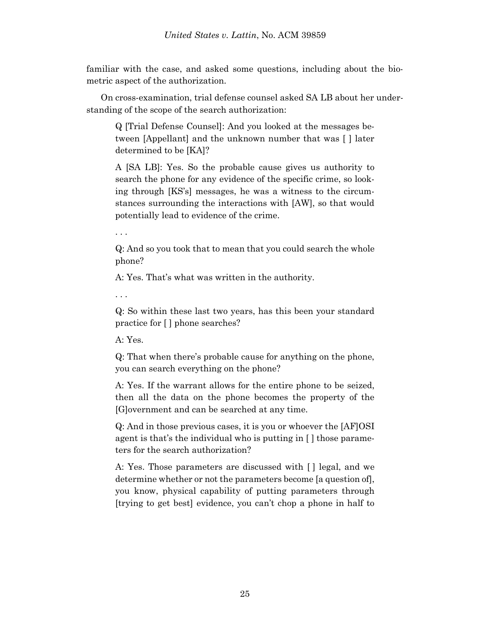familiar with the case, and asked some questions, including about the biometric aspect of the authorization.

On cross-examination, trial defense counsel asked SA LB about her understanding of the scope of the search authorization:

Q [Trial Defense Counsel]: And you looked at the messages between [Appellant] and the unknown number that was [ ] later determined to be [KA]?

A [SA LB]: Yes. So the probable cause gives us authority to search the phone for any evidence of the specific crime, so looking through [KS's] messages, he was a witness to the circumstances surrounding the interactions with [AW], so that would potentially lead to evidence of the crime.

. . .

Q: And so you took that to mean that you could search the whole phone?

A: Yes. That's what was written in the authority.

. . .

Q: So within these last two years, has this been your standard practice for [ ] phone searches?

A: Yes.

Q: That when there's probable cause for anything on the phone, you can search everything on the phone?

A: Yes. If the warrant allows for the entire phone to be seized, then all the data on the phone becomes the property of the [G]overnment and can be searched at any time.

Q: And in those previous cases, it is you or whoever the [AF]OSI agent is that's the individual who is putting in [ ] those parameters for the search authorization?

A: Yes. Those parameters are discussed with [ ] legal, and we determine whether or not the parameters become [a question of], you know, physical capability of putting parameters through [trying to get best] evidence, you can't chop a phone in half to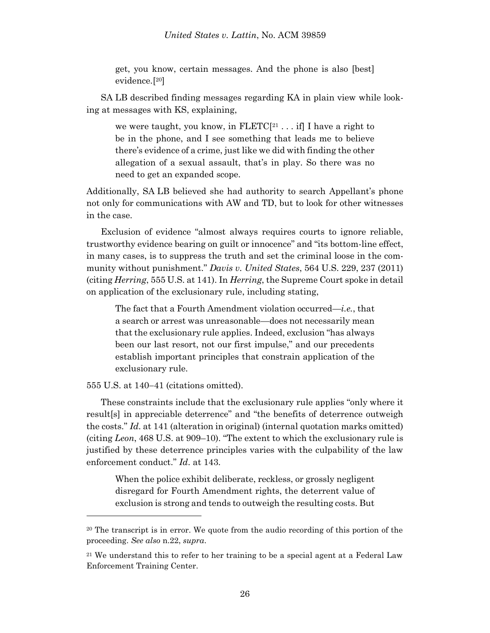get, you know, certain messages. And the phone is also [best] evidence.[ <sup>20</sup>]

SA LB described finding messages regarding KA in plain view while looking at messages with KS, explaining,

we were taught, you know, in  $FLETC[<sup>21</sup> \dots$  if I have a right to be in the phone, and I see something that leads me to believe there's evidence of a crime, just like we did with finding the other allegation of a sexual assault, that's in play. So there was no need to get an expanded scope.

Additionally, SA LB believed she had authority to search Appellant's phone not only for communications with AW and TD, but to look for other witnesses in the case.

Exclusion of evidence "almost always requires courts to ignore reliable, trustworthy evidence bearing on guilt or innocence" and "its bottom-line effect, in many cases, is to suppress the truth and set the criminal loose in the community without punishment." *Davis v. United States*, 564 U.S. 229, 237 (2011) (citing *Herring*, 555 U.S. at 141). In *Herring*, the Supreme Court spoke in detail on application of the exclusionary rule, including stating,

The fact that a Fourth Amendment violation occurred—*i.e.*, that a search or arrest was unreasonable—does not necessarily mean that the exclusionary rule applies. Indeed, exclusion "has always been our last resort, not our first impulse," and our precedents establish important principles that constrain application of the exclusionary rule.

555 U.S. at 140–41 (citations omitted).

l

These constraints include that the exclusionary rule applies "only where it result[s] in appreciable deterrence" and "the benefits of deterrence outweigh the costs." *Id*. at 141 (alteration in original) (internal quotation marks omitted) (citing *Leon*, 468 U.S. at 909–10). "The extent to which the exclusionary rule is justified by these deterrence principles varies with the culpability of the law enforcement conduct." *Id*. at 143.

When the police exhibit deliberate, reckless, or grossly negligent disregard for Fourth Amendment rights, the deterrent value of exclusion is strong and tends to outweigh the resulting costs. But

<sup>&</sup>lt;sup>20</sup> The transcript is in error. We quote from the audio recording of this portion of the proceeding. *See also* n.22, *supra*.

<sup>&</sup>lt;sup>21</sup> We understand this to refer to her training to be a special agent at a Federal Law Enforcement Training Center.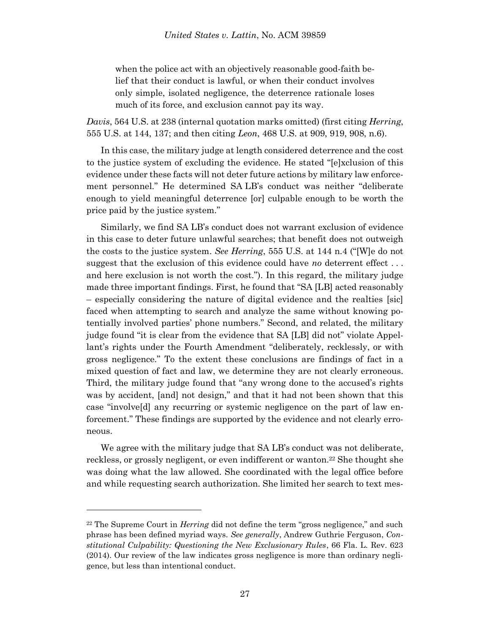when the police act with an objectively reasonable good-faith belief that their conduct is lawful, or when their conduct involves only simple, isolated negligence, the deterrence rationale loses much of its force, and exclusion cannot pay its way.

*Davis*, 564 U.S. at 238 (internal quotation marks omitted) (first citing *Herring*, 555 U.S. at 144, 137; and then citing *Leon*, 468 U.S. at 909, 919, 908, n.6).

In this case, the military judge at length considered deterrence and the cost to the justice system of excluding the evidence. He stated "[e]xclusion of this evidence under these facts will not deter future actions by military law enforcement personnel." He determined SA LB's conduct was neither "deliberate enough to yield meaningful deterrence [or] culpable enough to be worth the price paid by the justice system."

Similarly, we find SA LB's conduct does not warrant exclusion of evidence in this case to deter future unlawful searches; that benefit does not outweigh the costs to the justice system. *See Herring*, 555 U.S. at 144 n.4 ("[W]e do not suggest that the exclusion of this evidence could have *no* deterrent effect . . . and here exclusion is not worth the cost."). In this regard, the military judge made three important findings. First, he found that "SA [LB] acted reasonably – especially considering the nature of digital evidence and the realties [sic] faced when attempting to search and analyze the same without knowing potentially involved parties' phone numbers." Second, and related, the military judge found "it is clear from the evidence that SA [LB] did not" violate Appellant's rights under the Fourth Amendment "deliberately, recklessly, or with gross negligence." To the extent these conclusions are findings of fact in a mixed question of fact and law, we determine they are not clearly erroneous. Third, the military judge found that "any wrong done to the accused's rights was by accident, [and] not design," and that it had not been shown that this case "involve[d] any recurring or systemic negligence on the part of law enforcement." These findings are supported by the evidence and not clearly erroneous.

We agree with the military judge that SA LB's conduct was not deliberate, reckless, or grossly negligent, or even indifferent or wanton.<sup>22</sup> She thought she was doing what the law allowed. She coordinated with the legal office before and while requesting search authorization. She limited her search to text mes-

l

<sup>22</sup> The Supreme Court in *Herring* did not define the term "gross negligence," and such phrase has been defined myriad ways. *See generally*, Andrew Guthrie Ferguson, *Constitutional Culpability: Questioning the New Exclusionary Rules*, 66 Fla. L. Rev. 623 (2014). Our review of the law indicates gross negligence is more than ordinary negligence, but less than intentional conduct.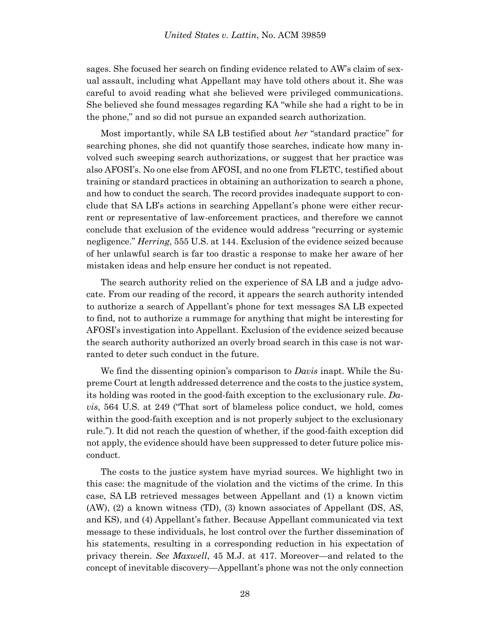sages. She focused her search on finding evidence related to AW's claim of sexual assault, including what Appellant may have told others about it. She was careful to avoid reading what she believed were privileged communications. She believed she found messages regarding KA "while she had a right to be in the phone," and so did not pursue an expanded search authorization.

Most importantly, while SA LB testified about *her* "standard practice" for searching phones, she did not quantify those searches, indicate how many involved such sweeping search authorizations, or suggest that her practice was also AFOSI's. No one else from AFOSI, and no one from FLETC, testified about training or standard practices in obtaining an authorization to search a phone, and how to conduct the search. The record provides inadequate support to conclude that SA LB's actions in searching Appellant's phone were either recurrent or representative of law-enforcement practices, and therefore we cannot conclude that exclusion of the evidence would address "recurring or systemic negligence." *Herring*, 555 U.S. at 144. Exclusion of the evidence seized because of her unlawful search is far too drastic a response to make her aware of her mistaken ideas and help ensure her conduct is not repeated.

The search authority relied on the experience of SA LB and a judge advocate. From our reading of the record, it appears the search authority intended to authorize a search of Appellant's phone for text messages SA LB expected to find, not to authorize a rummage for anything that might be interesting for AFOSI's investigation into Appellant. Exclusion of the evidence seized because the search authority authorized an overly broad search in this case is not warranted to deter such conduct in the future.

We find the dissenting opinion's comparison to *Davis* inapt. While the Supreme Court at length addressed deterrence and the costs to the justice system, its holding was rooted in the good-faith exception to the exclusionary rule. *Davis*, 564 U.S. at 249 ("That sort of blameless police conduct, we hold, comes within the good-faith exception and is not properly subject to the exclusionary rule."). It did not reach the question of whether, if the good-faith exception did not apply, the evidence should have been suppressed to deter future police misconduct.

The costs to the justice system have myriad sources. We highlight two in this case: the magnitude of the violation and the victims of the crime. In this case, SA LB retrieved messages between Appellant and (1) a known victim (AW), (2) a known witness (TD), (3) known associates of Appellant (DS, AS, and KS), and (4) Appellant's father. Because Appellant communicated via text message to these individuals, he lost control over the further dissemination of his statements, resulting in a corresponding reduction in his expectation of privacy therein. *See Maxwell*, 45 M.J. at 417. Moreover—and related to the concept of inevitable discovery—Appellant's phone was not the only connection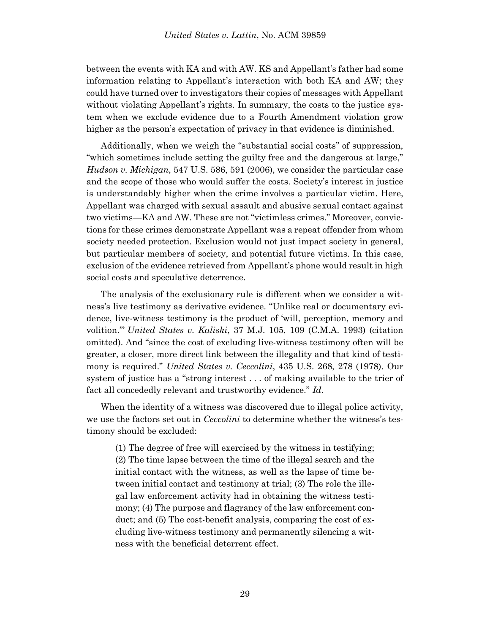between the events with KA and with AW. KS and Appellant's father had some information relating to Appellant's interaction with both KA and AW; they could have turned over to investigators their copies of messages with Appellant without violating Appellant's rights. In summary, the costs to the justice system when we exclude evidence due to a Fourth Amendment violation grow higher as the person's expectation of privacy in that evidence is diminished.

Additionally, when we weigh the "substantial social costs" of suppression, "which sometimes include setting the guilty free and the dangerous at large," *Hudson v. Michigan*, 547 U.S. 586, 591 (2006), we consider the particular case and the scope of those who would suffer the costs. Society's interest in justice is understandably higher when the crime involves a particular victim. Here, Appellant was charged with sexual assault and abusive sexual contact against two victims—KA and AW. These are not "victimless crimes." Moreover, convictions for these crimes demonstrate Appellant was a repeat offender from whom society needed protection. Exclusion would not just impact society in general, but particular members of society, and potential future victims. In this case, exclusion of the evidence retrieved from Appellant's phone would result in high social costs and speculative deterrence.

The analysis of the exclusionary rule is different when we consider a witness's live testimony as derivative evidence. "Unlike real or documentary evidence, live-witness testimony is the product of 'will, perception, memory and volition.'" *United States v. Kaliski*, 37 M.J. 105, 109 (C.M.A. 1993) (citation omitted). And "since the cost of excluding live-witness testimony often will be greater, a closer, more direct link between the illegality and that kind of testimony is required." *United States v. Ceccolini*, 435 U.S. 268, 278 (1978). Our system of justice has a "strong interest . . . of making available to the trier of fact all concededly relevant and trustworthy evidence." *Id*.

When the identity of a witness was discovered due to illegal police activity, we use the factors set out in *Ceccolini* to determine whether the witness's testimony should be excluded:

(1) The degree of free will exercised by the witness in testifying; (2) The time lapse between the time of the illegal search and the initial contact with the witness, as well as the lapse of time between initial contact and testimony at trial; (3) The role the illegal law enforcement activity had in obtaining the witness testimony; (4) The purpose and flagrancy of the law enforcement conduct; and (5) The cost-benefit analysis, comparing the cost of excluding live-witness testimony and permanently silencing a witness with the beneficial deterrent effect.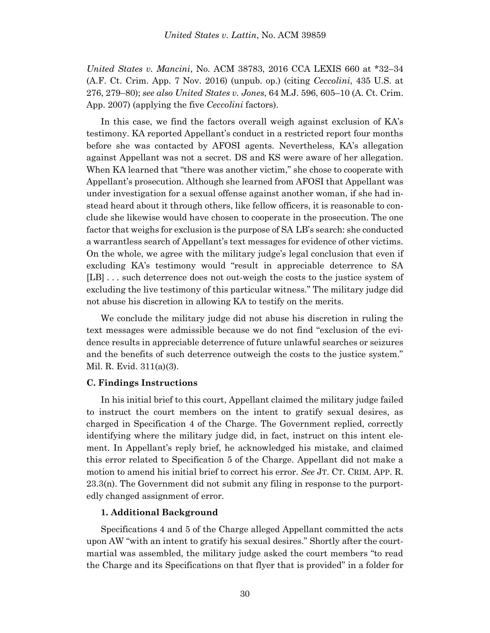*United States v. Mancini*, No. ACM 38783, 2016 CCA LEXIS 660 at \*32–34 (A.F. Ct. Crim. App. 7 Nov. 2016) (unpub. op.) (citing *Ceccolini*, 435 U.S. at 276, 279–80); *see also United States v. Jones*, 64 M.J. 596, 605–10 (A. Ct. Crim. App. 2007) (applying the five *Ceccolini* factors).

In this case, we find the factors overall weigh against exclusion of KA's testimony. KA reported Appellant's conduct in a restricted report four months before she was contacted by AFOSI agents. Nevertheless, KA's allegation against Appellant was not a secret. DS and KS were aware of her allegation. When KA learned that "there was another victim," she chose to cooperate with Appellant's prosecution. Although she learned from AFOSI that Appellant was under investigation for a sexual offense against another woman, if she had instead heard about it through others, like fellow officers, it is reasonable to conclude she likewise would have chosen to cooperate in the prosecution. The one factor that weighs for exclusion is the purpose of SA LB's search: she conducted a warrantless search of Appellant's text messages for evidence of other victims. On the whole, we agree with the military judge's legal conclusion that even if excluding KA's testimony would "result in appreciable deterrence to SA [LB] . . . such deterrence does not out-weigh the costs to the justice system of excluding the live testimony of this particular witness." The military judge did not abuse his discretion in allowing KA to testify on the merits.

We conclude the military judge did not abuse his discretion in ruling the text messages were admissible because we do not find "exclusion of the evidence results in appreciable deterrence of future unlawful searches or seizures and the benefits of such deterrence outweigh the costs to the justice system." Mil. R. Evid. 311(a)(3).

### **C. Findings Instructions**

In his initial brief to this court, Appellant claimed the military judge failed to instruct the court members on the intent to gratify sexual desires, as charged in Specification 4 of the Charge. The Government replied, correctly identifying where the military judge did, in fact, instruct on this intent element. In Appellant's reply brief, he acknowledged his mistake, and claimed this error related to Specification 5 of the Charge. Appellant did not make a motion to amend his initial brief to correct his error. *See* JT. CT. CRIM. APP. R. 23.3(n). The Government did not submit any filing in response to the purportedly changed assignment of error.

#### **1. Additional Background**

Specifications 4 and 5 of the Charge alleged Appellant committed the acts upon AW "with an intent to gratify his sexual desires." Shortly after the courtmartial was assembled, the military judge asked the court members "to read the Charge and its Specifications on that flyer that is provided" in a folder for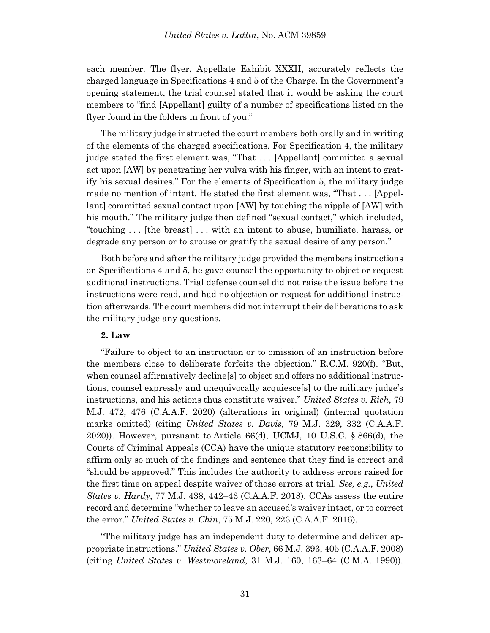each member. The flyer, Appellate Exhibit XXXII, accurately reflects the charged language in Specifications 4 and 5 of the Charge. In the Government's opening statement, the trial counsel stated that it would be asking the court members to "find [Appellant] guilty of a number of specifications listed on the flyer found in the folders in front of you."

The military judge instructed the court members both orally and in writing of the elements of the charged specifications. For Specification 4, the military judge stated the first element was, "That . . . [Appellant] committed a sexual act upon [AW] by penetrating her vulva with his finger, with an intent to gratify his sexual desires." For the elements of Specification 5, the military judge made no mention of intent. He stated the first element was, "That . . . [Appellant] committed sexual contact upon [AW] by touching the nipple of [AW] with his mouth." The military judge then defined "sexual contact," which included, "touching . . . [the breast] . . . with an intent to abuse, humiliate, harass, or degrade any person or to arouse or gratify the sexual desire of any person."

Both before and after the military judge provided the members instructions on Specifications 4 and 5, he gave counsel the opportunity to object or request additional instructions. Trial defense counsel did not raise the issue before the instructions were read, and had no objection or request for additional instruction afterwards. The court members did not interrupt their deliberations to ask the military judge any questions.

### **2. Law**

"Failure to object to an instruction or to omission of an instruction before the members close to deliberate forfeits the objection." R.C.M. 920(f). "But, when counsel affirmatively decline[s] to object and offers no additional instructions, counsel expressly and unequivocally acquiesce[s] to the military judge's instructions, and his actions thus constitute waiver." *United States v. Rich*, 79 M.J. 472, 476 (C.A.A.F. 2020) (alterations in original) (internal quotation marks omitted) (citing *United States v. Davis,* 79 M.J. 329, 332 (C.A.A.F. 2020)). However, pursuant to Article 66(d), UCMJ, 10 U.S.C. § 866(d), the Courts of Criminal Appeals (CCA) have the unique statutory responsibility to affirm only so much of the findings and sentence that they find is correct and "should be approved." This includes the authority to address errors raised for the first time on appeal despite waiver of those errors at trial. *See, e.g.*, *United States v. Hardy*, 77 M.J. 438, 442–43 (C.A.A.F. 2018). CCAs assess the entire record and determine "whether to leave an accused's waiver intact, or to correct the error." *United States v. Chin*, 75 M.J. 220, 223 (C.A.A.F. 2016).

"The military judge has an independent duty to determine and deliver appropriate instructions." *United States v. Ober*, 66 M.J. 393, 405 (C.A.A.F. 2008) (citing *United States v. Westmoreland*, 31 M.J. 160, 163–64 (C.M.A. 1990)).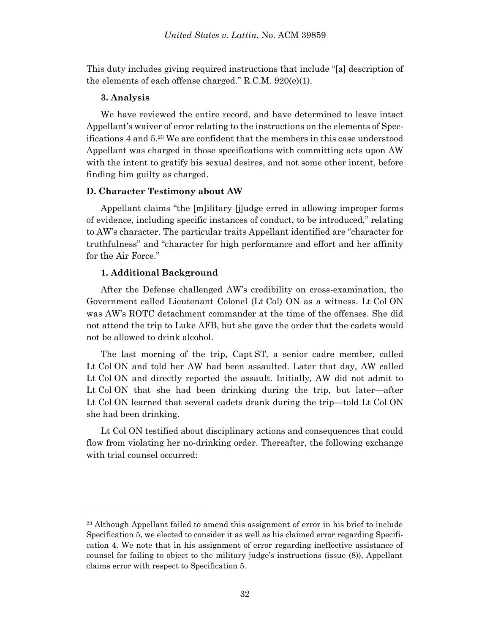This duty includes giving required instructions that include "[a] description of the elements of each offense charged." R.C.M. 920(e)(1).

#### **3. Analysis**

l

We have reviewed the entire record, and have determined to leave intact Appellant's waiver of error relating to the instructions on the elements of Specifications 4 and 5. <sup>23</sup> We are confident that the members in this case understood Appellant was charged in those specifications with committing acts upon AW with the intent to gratify his sexual desires, and not some other intent, before finding him guilty as charged.

### **D. Character Testimony about AW**

Appellant claims "the [m]ilitary [j]udge erred in allowing improper forms of evidence, including specific instances of conduct, to be introduced," relating to AW's character. The particular traits Appellant identified are "character for truthfulness" and "character for high performance and effort and her affinity for the Air Force."

### **1. Additional Background**

After the Defense challenged AW's credibility on cross-examination, the Government called Lieutenant Colonel (Lt Col) ON as a witness. Lt Col ON was AW's ROTC detachment commander at the time of the offenses. She did not attend the trip to Luke AFB, but she gave the order that the cadets would not be allowed to drink alcohol.

The last morning of the trip, Capt ST, a senior cadre member, called Lt Col ON and told her AW had been assaulted. Later that day, AW called Lt Col ON and directly reported the assault. Initially, AW did not admit to Lt Col ON that she had been drinking during the trip, but later—after Lt Col ON learned that several cadets drank during the trip—told Lt Col ON she had been drinking.

Lt Col ON testified about disciplinary actions and consequences that could flow from violating her no-drinking order. Thereafter, the following exchange with trial counsel occurred:

<sup>&</sup>lt;sup>23</sup> Although Appellant failed to amend this assignment of error in his brief to include Specification 5, we elected to consider it as well as his claimed error regarding Specification 4. We note that in his assignment of error regarding ineffective assistance of counsel for failing to object to the military judge's instructions (issue (8)), Appellant claims error with respect to Specification 5.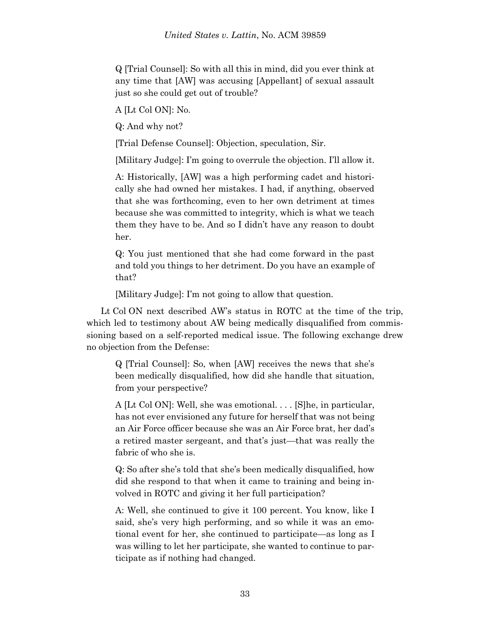Q [Trial Counsel]: So with all this in mind, did you ever think at any time that [AW] was accusing [Appellant] of sexual assault just so she could get out of trouble?

A [Lt Col ON]: No.

Q: And why not?

[Trial Defense Counsel]: Objection, speculation, Sir.

[Military Judge]: I'm going to overrule the objection. I'll allow it.

A: Historically, [AW] was a high performing cadet and historically she had owned her mistakes. I had, if anything, observed that she was forthcoming, even to her own detriment at times because she was committed to integrity, which is what we teach them they have to be. And so I didn't have any reason to doubt her.

Q: You just mentioned that she had come forward in the past and told you things to her detriment. Do you have an example of that?

[Military Judge]: I'm not going to allow that question.

Lt Col ON next described AW's status in ROTC at the time of the trip, which led to testimony about AW being medically disqualified from commissioning based on a self-reported medical issue. The following exchange drew no objection from the Defense:

Q [Trial Counsel]: So, when [AW] receives the news that she's been medically disqualified, how did she handle that situation, from your perspective?

A [Lt Col ON]: Well, she was emotional. . . . [S]he, in particular, has not ever envisioned any future for herself that was not being an Air Force officer because she was an Air Force brat, her dad's a retired master sergeant, and that's just—that was really the fabric of who she is.

Q: So after she's told that she's been medically disqualified, how did she respond to that when it came to training and being involved in ROTC and giving it her full participation?

A: Well, she continued to give it 100 percent. You know, like I said, she's very high performing, and so while it was an emotional event for her, she continued to participate—as long as I was willing to let her participate, she wanted to continue to participate as if nothing had changed.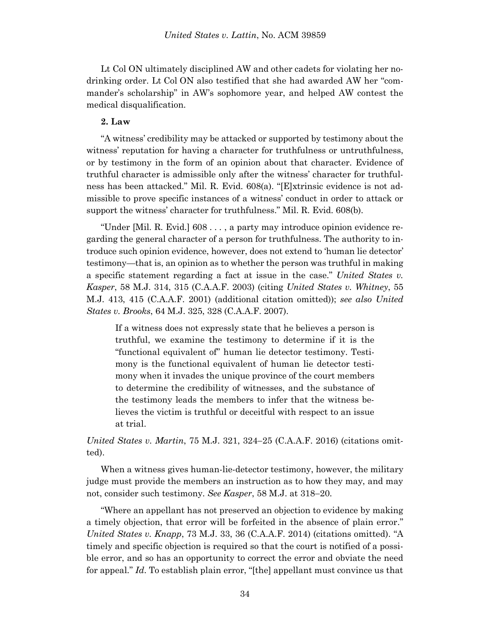Lt Col ON ultimately disciplined AW and other cadets for violating her nodrinking order. Lt Col ON also testified that she had awarded AW her "commander's scholarship" in AW's sophomore year, and helped AW contest the medical disqualification.

#### **2. Law**

"A witness' credibility may be attacked or supported by testimony about the witness' reputation for having a character for truthfulness or untruthfulness, or by testimony in the form of an opinion about that character. Evidence of truthful character is admissible only after the witness' character for truthfulness has been attacked." Mil. R. Evid. 608(a). "[E]xtrinsic evidence is not admissible to prove specific instances of a witness' conduct in order to attack or support the witness' character for truthfulness." Mil. R. Evid. 608(b).

"Under [Mil. R. Evid.] 608 . . . , a party may introduce opinion evidence regarding the general character of a person for truthfulness. The authority to introduce such opinion evidence, however, does not extend to 'human lie detector' testimony—that is, an opinion as to whether the person was truthful in making a specific statement regarding a fact at issue in the case." *United States v. Kasper*, 58 M.J. 314, 315 (C.A.A.F. 2003) (citing *United States v. Whitney*, 55 M.J. 413, 415 (C.A.A.F. 2001) (additional citation omitted)); *see also United States v. Brooks*, 64 M.J. 325, 328 (C.A.A.F. 2007).

If a witness does not expressly state that he believes a person is truthful, we examine the testimony to determine if it is the "functional equivalent of" human lie detector testimony. Testimony is the functional equivalent of human lie detector testimony when it invades the unique province of the court members to determine the credibility of witnesses, and the substance of the testimony leads the members to infer that the witness believes the victim is truthful or deceitful with respect to an issue at trial.

## *United States v. Martin, 75 M.J. 321, 324–25 (C.A.A.F. 2016)* (citations omitted).

When a witness gives human-lie-detector testimony, however, the military judge must provide the members an instruction as to how they may, and may not, consider such testimony. *See Kasper*, 58 M.J. at 318–20.

"Where an appellant has not preserved an objection to evidence by making a timely objection, that error will be forfeited in the absence of plain error." *United States v. Knapp*, 73 M.J. 33, 36 (C.A.A.F. 2014) (citations omitted). "A timely and specific objection is required so that the court is notified of a possible error, and so has an opportunity to correct the error and obviate the need for appeal." *Id*. To establish plain error, "[the] appellant must convince us that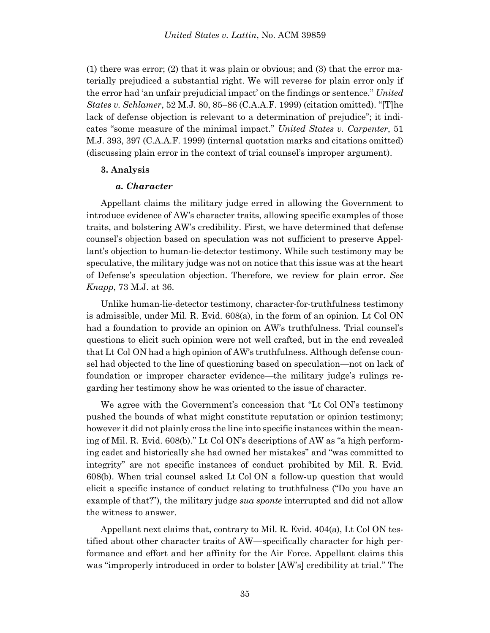(1) there was error; (2) that it was plain or obvious; and (3) that the error materially prejudiced a substantial right. We will reverse for plain error only if the error had 'an unfair prejudicial impact' on the findings or sentence." *United States v. Schlamer*, 52 M.J. 80, 85-86 (C.A.A.F. 1999) (citation omitted). "[T]he lack of defense objection is relevant to a determination of prejudice"; it indicates "some measure of the minimal impact." *United States v. Carpenter*, 51 M.J. 393, 397 (C.A.A.F. 1999) (internal quotation marks and citations omitted) (discussing plain error in the context of trial counsel's improper argument).

#### **3. Analysis**

#### *a. Character*

Appellant claims the military judge erred in allowing the Government to introduce evidence of AW's character traits, allowing specific examples of those traits, and bolstering AW's credibility. First, we have determined that defense counsel's objection based on speculation was not sufficient to preserve Appellant's objection to human-lie-detector testimony. While such testimony may be speculative, the military judge was not on notice that this issue was at the heart of Defense's speculation objection. Therefore, we review for plain error. *See Knapp*, 73 M.J. at 36.

Unlike human-lie-detector testimony, character-for-truthfulness testimony is admissible, under Mil. R. Evid. 608(a), in the form of an opinion. Lt Col ON had a foundation to provide an opinion on AW's truthfulness. Trial counsel's questions to elicit such opinion were not well crafted, but in the end revealed that Lt Col ON had a high opinion of AW's truthfulness. Although defense counsel had objected to the line of questioning based on speculation—not on lack of foundation or improper character evidence—the military judge's rulings regarding her testimony show he was oriented to the issue of character.

We agree with the Government's concession that "Lt Col ON's testimony" pushed the bounds of what might constitute reputation or opinion testimony; however it did not plainly cross the line into specific instances within the meaning of Mil. R. Evid. 608(b)." Lt Col ON's descriptions of AW as "a high performing cadet and historically she had owned her mistakes" and "was committed to integrity" are not specific instances of conduct prohibited by Mil. R. Evid. 608(b). When trial counsel asked Lt Col ON a follow-up question that would elicit a specific instance of conduct relating to truthfulness ("Do you have an example of that?"), the military judge *sua sponte* interrupted and did not allow the witness to answer.

Appellant next claims that, contrary to Mil. R. Evid. 404(a), Lt Col ON testified about other character traits of AW—specifically character for high performance and effort and her affinity for the Air Force. Appellant claims this was "improperly introduced in order to bolster [AW's] credibility at trial." The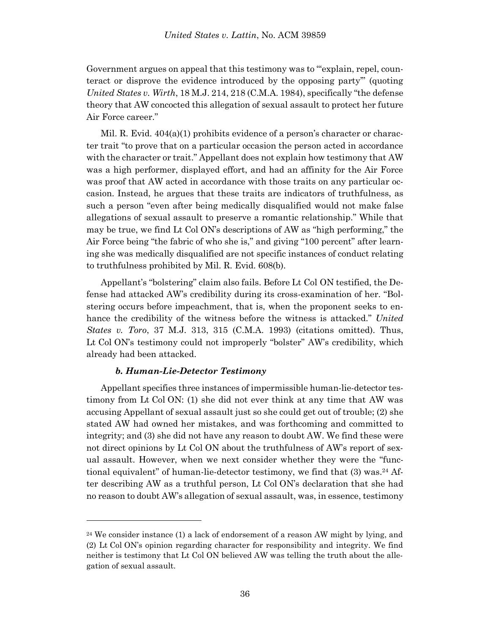Government argues on appeal that this testimony was to "explain, repel, counteract or disprove the evidence introduced by the opposing party'" (quoting *United States v. Wirth*, 18 M.J. 214, 218 (C.M.A. 1984), specifically "the defense theory that AW concocted this allegation of sexual assault to protect her future Air Force career."

Mil. R. Evid. 404(a)(1) prohibits evidence of a person's character or character trait "to prove that on a particular occasion the person acted in accordance with the character or trait." Appellant does not explain how testimony that AW was a high performer, displayed effort, and had an affinity for the Air Force was proof that AW acted in accordance with those traits on any particular occasion. Instead, he argues that these traits are indicators of truthfulness, as such a person "even after being medically disqualified would not make false allegations of sexual assault to preserve a romantic relationship." While that may be true, we find Lt Col ON's descriptions of AW as "high performing," the Air Force being "the fabric of who she is," and giving "100 percent" after learning she was medically disqualified are not specific instances of conduct relating to truthfulness prohibited by Mil. R. Evid. 608(b).

Appellant's "bolstering" claim also fails. Before Lt Col ON testified, the Defense had attacked AW's credibility during its cross-examination of her. "Bolstering occurs before impeachment, that is, when the proponent seeks to enhance the credibility of the witness before the witness is attacked." *United States v. Toro*, 37 M.J. 313, 315 (C.M.A. 1993) (citations omitted). Thus, Lt Col ON's testimony could not improperly "bolster" AW's credibility, which already had been attacked.

### *b. Human-Lie-Detector Testimony*

l

Appellant specifies three instances of impermissible human-lie-detector testimony from Lt Col ON: (1) she did not ever think at any time that AW was accusing Appellant of sexual assault just so she could get out of trouble; (2) she stated AW had owned her mistakes, and was forthcoming and committed to integrity; and (3) she did not have any reason to doubt AW. We find these were not direct opinions by Lt Col ON about the truthfulness of AW's report of sexual assault. However, when we next consider whether they were the "functional equivalent" of human-lie-detector testimony, we find that (3) was.<sup>24</sup> After describing AW as a truthful person, Lt Col ON's declaration that she had no reason to doubt AW's allegation of sexual assault, was, in essence, testimony

 $24$  We consider instance (1) a lack of endorsement of a reason AW might by lying, and (2) Lt Col ON's opinion regarding character for responsibility and integrity. We find neither is testimony that Lt Col ON believed AW was telling the truth about the allegation of sexual assault.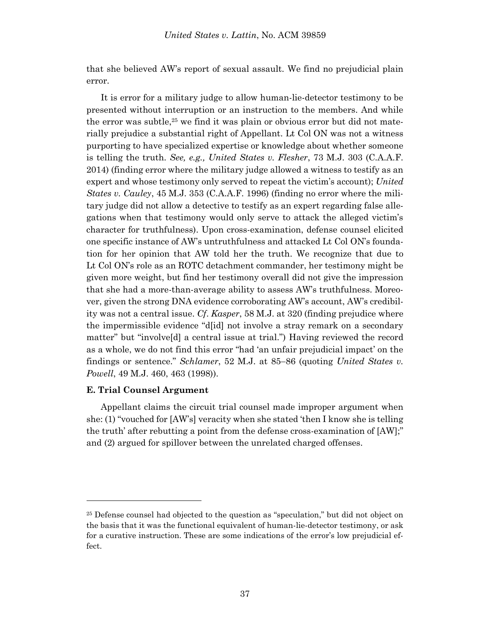that she believed AW's report of sexual assault. We find no prejudicial plain error.

It is error for a military judge to allow human-lie-detector testimony to be presented without interruption or an instruction to the members. And while the error was subtle, <sup>25</sup> we find it was plain or obvious error but did not materially prejudice a substantial right of Appellant. Lt Col ON was not a witness purporting to have specialized expertise or knowledge about whether someone is telling the truth. *See, e.g., United States v. Flesher*, 73 M.J. 303 (C.A.A.F. 2014) (finding error where the military judge allowed a witness to testify as an expert and whose testimony only served to repeat the victim's account); *United States v. Cauley*, 45 M.J. 353 (C.A.A.F. 1996) (finding no error where the military judge did not allow a detective to testify as an expert regarding false allegations when that testimony would only serve to attack the alleged victim's character for truthfulness). Upon cross-examination, defense counsel elicited one specific instance of AW's untruthfulness and attacked Lt Col ON's foundation for her opinion that AW told her the truth. We recognize that due to Lt Col ON's role as an ROTC detachment commander, her testimony might be given more weight, but find her testimony overall did not give the impression that she had a more-than-average ability to assess AW's truthfulness. Moreover, given the strong DNA evidence corroborating AW's account, AW's credibility was not a central issue. *Cf*. *Kasper*, 58 M.J. at 320 (finding prejudice where the impermissible evidence "d[id] not involve a stray remark on a secondary matter" but "involve[d] a central issue at trial.") Having reviewed the record as a whole, we do not find this error "had 'an unfair prejudicial impact' on the findings or sentence." *Schlamer*, 52 M.J. at 85–86 (quoting *United States v. Powell*, 49 M.J. 460, 463 (1998)).

#### **E. Trial Counsel Argument**

l

Appellant claims the circuit trial counsel made improper argument when she: (1) "vouched for [AW's] veracity when she stated 'then I know she is telling the truth' after rebutting a point from the defense cross-examination of [AW];" and (2) argued for spillover between the unrelated charged offenses.

<sup>25</sup> Defense counsel had objected to the question as "speculation," but did not object on the basis that it was the functional equivalent of human-lie-detector testimony, or ask for a curative instruction. These are some indications of the error's low prejudicial effect.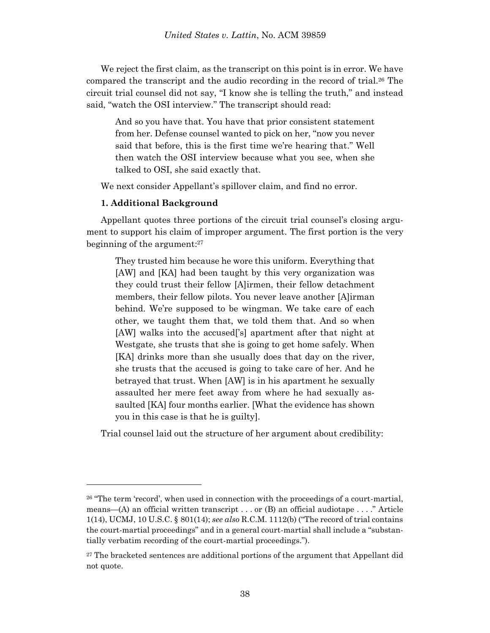We reject the first claim, as the transcript on this point is in error. We have compared the transcript and the audio recording in the record of trial. <sup>26</sup> The circuit trial counsel did not say, "I know she is telling the truth," and instead said, "watch the OSI interview." The transcript should read:

And so you have that. You have that prior consistent statement from her. Defense counsel wanted to pick on her, "now you never said that before, this is the first time we're hearing that." Well then watch the OSI interview because what you see, when she talked to OSI, she said exactly that.

We next consider Appellant's spillover claim, and find no error.

### **1. Additional Background**

l

Appellant quotes three portions of the circuit trial counsel's closing argument to support his claim of improper argument. The first portion is the very beginning of the argument: 27

They trusted him because he wore this uniform. Everything that [AW] and [KA] had been taught by this very organization was they could trust their fellow [A]irmen, their fellow detachment members, their fellow pilots. You never leave another [A]irman behind. We're supposed to be wingman. We take care of each other, we taught them that, we told them that. And so when [AW] walks into the accused['s] apartment after that night at Westgate, she trusts that she is going to get home safely. When [KA] drinks more than she usually does that day on the river, she trusts that the accused is going to take care of her. And he betrayed that trust. When [AW] is in his apartment he sexually assaulted her mere feet away from where he had sexually assaulted [KA] four months earlier. [What the evidence has shown you in this case is that he is guilty].

Trial counsel laid out the structure of her argument about credibility:

<sup>&</sup>lt;sup>26</sup> "The term 'record', when used in connection with the proceedings of a court-martial, means—(A) an official written transcript . . . or (B) an official audiotape . . . ." Article 1(14), UCMJ, 10 U.S.C. § 801(14); *see also* R.C.M. 1112(b) ("The record of trial contains the court-martial proceedings" and in a general court-martial shall include a "substantially verbatim recording of the court-martial proceedings.").

<sup>&</sup>lt;sup>27</sup> The bracketed sentences are additional portions of the argument that Appellant did not quote.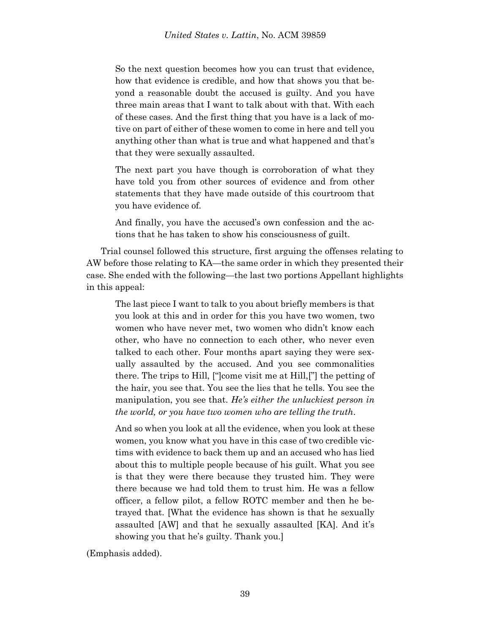So the next question becomes how you can trust that evidence, how that evidence is credible, and how that shows you that beyond a reasonable doubt the accused is guilty. And you have three main areas that I want to talk about with that. With each of these cases. And the first thing that you have is a lack of motive on part of either of these women to come in here and tell you anything other than what is true and what happened and that's that they were sexually assaulted.

The next part you have though is corroboration of what they have told you from other sources of evidence and from other statements that they have made outside of this courtroom that you have evidence of.

And finally, you have the accused's own confession and the actions that he has taken to show his consciousness of guilt.

Trial counsel followed this structure, first arguing the offenses relating to AW before those relating to KA—the same order in which they presented their case. She ended with the following—the last two portions Appellant highlights in this appeal:

The last piece I want to talk to you about briefly members is that you look at this and in order for this you have two women, two women who have never met, two women who didn't know each other, who have no connection to each other, who never even talked to each other. Four months apart saying they were sexually assaulted by the accused. And you see commonalities there. The trips to Hill, ["]come visit me at Hill,["] the petting of the hair, you see that. You see the lies that he tells. You see the manipulation, you see that. *He's either the unluckiest person in the world, or you have two women who are telling the truth*.

And so when you look at all the evidence, when you look at these women, you know what you have in this case of two credible victims with evidence to back them up and an accused who has lied about this to multiple people because of his guilt. What you see is that they were there because they trusted him. They were there because we had told them to trust him. He was a fellow officer, a fellow pilot, a fellow ROTC member and then he betrayed that. [What the evidence has shown is that he sexually assaulted [AW] and that he sexually assaulted [KA]. And it's showing you that he's guilty. Thank you.]

(Emphasis added).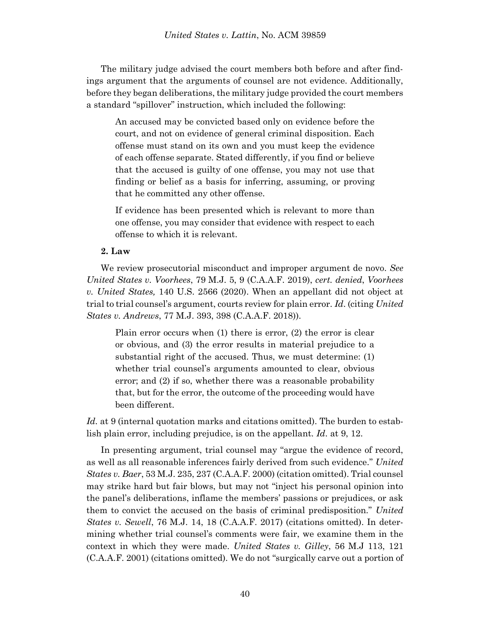The military judge advised the court members both before and after findings argument that the arguments of counsel are not evidence. Additionally, before they began deliberations, the military judge provided the court members a standard "spillover" instruction, which included the following:

An accused may be convicted based only on evidence before the court, and not on evidence of general criminal disposition. Each offense must stand on its own and you must keep the evidence of each offense separate. Stated differently, if you find or believe that the accused is guilty of one offense, you may not use that finding or belief as a basis for inferring, assuming, or proving that he committed any other offense.

If evidence has been presented which is relevant to more than one offense, you may consider that evidence with respect to each offense to which it is relevant.

### **2. Law**

We review prosecutorial misconduct and improper argument de novo. *See United States v. Voorhees*, 79 M.J. 5, 9 (C.A.A.F. 2019), *cert. denied*, *Voorhees v. United States,* 140 U.S. 2566 (2020). When an appellant did not object at trial to trial counsel's argument, courts review for plain error. *Id*. (citing *United States v. Andrews*, 77 M.J. 393, 398 (C.A.A.F. 2018)).

Plain error occurs when (1) there is error, (2) the error is clear or obvious, and (3) the error results in material prejudice to a substantial right of the accused. Thus, we must determine: (1) whether trial counsel's arguments amounted to clear, obvious error; and (2) if so, whether there was a reasonable probability that, but for the error, the outcome of the proceeding would have been different.

*Id.* at 9 (internal quotation marks and citations omitted). The burden to establish plain error, including prejudice, is on the appellant. *Id*. at 9, 12.

In presenting argument, trial counsel may "argue the evidence of record, as well as all reasonable inferences fairly derived from such evidence." *United States v. Baer*, 53 M.J. 235, 237 (C.A.A.F. 2000) (citation omitted). Trial counsel may strike hard but fair blows, but may not "inject his personal opinion into the panel's deliberations, inflame the members' passions or prejudices, or ask them to convict the accused on the basis of criminal predisposition." *United States v. Sewell*, 76 M.J. 14, 18 (C.A.A.F. 2017) (citations omitted). In determining whether trial counsel's comments were fair, we examine them in the context in which they were made. *United States v. Gilley*, 56 M.J 113, 121 (C.A.A.F. 2001) (citations omitted). We do not "surgically carve out a portion of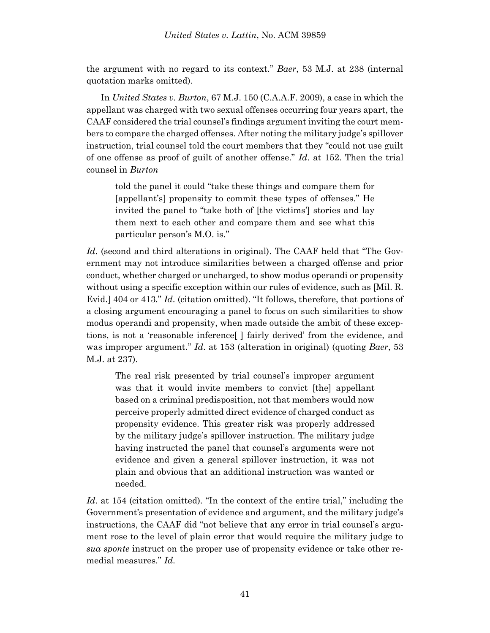the argument with no regard to its context." *Baer*, 53 M.J. at 238 (internal quotation marks omitted).

In *United States v. Burton*, 67 M.J. 150 (C.A.A.F. 2009), a case in which the appellant was charged with two sexual offenses occurring four years apart, the CAAF considered the trial counsel's findings argument inviting the court members to compare the charged offenses. After noting the military judge's spillover instruction, trial counsel told the court members that they "could not use guilt of one offense as proof of guilt of another offense." *Id*. at 152. Then the trial counsel in *Burton*

told the panel it could "take these things and compare them for [appellant's] propensity to commit these types of offenses." He invited the panel to "take both of [the victims'] stories and lay them next to each other and compare them and see what this particular person's M.O. is."

*Id*. (second and third alterations in original). The CAAF held that "The Government may not introduce similarities between a charged offense and prior conduct, whether charged or uncharged, to show modus operandi or propensity without using a specific exception within our rules of evidence, such as [Mil. R. Evid.] 404 or 413." *Id*. (citation omitted). "It follows, therefore, that portions of a closing argument encouraging a panel to focus on such similarities to show modus operandi and propensity, when made outside the ambit of these exceptions, is not a 'reasonable inference[ ] fairly derived' from the evidence, and was improper argument." *Id*. at 153 (alteration in original) (quoting *Baer*, 53 M.J. at 237).

The real risk presented by trial counsel's improper argument was that it would invite members to convict [the] appellant based on a criminal predisposition, not that members would now perceive properly admitted direct evidence of charged conduct as propensity evidence. This greater risk was properly addressed by the military judge's spillover instruction. The military judge having instructed the panel that counsel's arguments were not evidence and given a general spillover instruction, it was not plain and obvious that an additional instruction was wanted or needed.

*Id*. at 154 (citation omitted). "In the context of the entire trial," including the Government's presentation of evidence and argument, and the military judge's instructions, the CAAF did "not believe that any error in trial counsel's argument rose to the level of plain error that would require the military judge to *sua sponte* instruct on the proper use of propensity evidence or take other remedial measures." *Id*.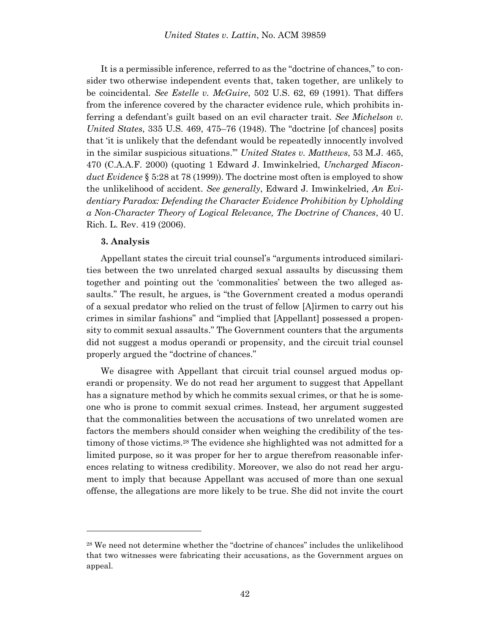It is a permissible inference, referred to as the "doctrine of chances," to consider two otherwise independent events that, taken together, are unlikely to be coincidental. *See Estelle v. McGuire*, 502 U.S. 62, 69 (1991). That differs from the inference covered by the character evidence rule, which prohibits inferring a defendant's guilt based on an evil character trait. *See Michelson v. United States*, 335 U.S. 469, 475–76 (1948). The "doctrine [of chances] posits that 'it is unlikely that the defendant would be repeatedly innocently involved in the similar suspicious situations.'" *United States v. Matthews*, 53 M.J. 465, 470 (C.A.A.F. 2000) (quoting 1 Edward J. Imwinkelried, *Uncharged Misconduct Evidence* § 5:28 at 78 (1999)). The doctrine most often is employed to show the unlikelihood of accident. *See generally*, Edward J. Imwinkelried, *An Evidentiary Paradox: Defending the Character Evidence Prohibition by Upholding a Non-Character Theory of Logical Relevance, The Doctrine of Chances*, 40 U. Rich. L. Rev. 419 (2006).

### **3. Analysis**

l

Appellant states the circuit trial counsel's "arguments introduced similarities between the two unrelated charged sexual assaults by discussing them together and pointing out the 'commonalities' between the two alleged assaults." The result, he argues, is "the Government created a modus operandi of a sexual predator who relied on the trust of fellow [A]irmen to carry out his crimes in similar fashions" and "implied that [Appellant] possessed a propensity to commit sexual assaults." The Government counters that the arguments did not suggest a modus operandi or propensity, and the circuit trial counsel properly argued the "doctrine of chances."

We disagree with Appellant that circuit trial counsel argued modus operandi or propensity. We do not read her argument to suggest that Appellant has a signature method by which he commits sexual crimes, or that he is someone who is prone to commit sexual crimes. Instead, her argument suggested that the commonalities between the accusations of two unrelated women are factors the members should consider when weighing the credibility of the testimony of those victims.<sup>28</sup> The evidence she highlighted was not admitted for a limited purpose, so it was proper for her to argue therefrom reasonable inferences relating to witness credibility. Moreover, we also do not read her argument to imply that because Appellant was accused of more than one sexual offense, the allegations are more likely to be true. She did not invite the court

<sup>28</sup> We need not determine whether the "doctrine of chances" includes the unlikelihood that two witnesses were fabricating their accusations, as the Government argues on appeal.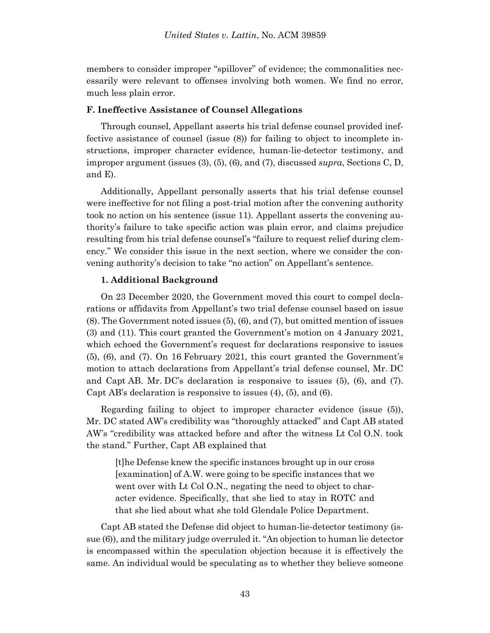members to consider improper "spillover" of evidence; the commonalities necessarily were relevant to offenses involving both women. We find no error, much less plain error.

#### **F. Ineffective Assistance of Counsel Allegations**

Through counsel, Appellant asserts his trial defense counsel provided ineffective assistance of counsel (issue (8)) for failing to object to incomplete instructions, improper character evidence, human-lie-detector testimony, and improper argument (issues (3), (5), (6), and (7), discussed *supra*, Sections C, D, and E).

Additionally, Appellant personally asserts that his trial defense counsel were ineffective for not filing a post-trial motion after the convening authority took no action on his sentence (issue 11). Appellant asserts the convening authority's failure to take specific action was plain error, and claims prejudice resulting from his trial defense counsel's "failure to request relief during clemency." We consider this issue in the next section, where we consider the convening authority's decision to take "no action" on Appellant's sentence.

#### **1. Additional Background**

On 23 December 2020, the Government moved this court to compel declarations or affidavits from Appellant's two trial defense counsel based on issue (8). The Government noted issues (5), (6), and (7), but omitted mention of issues (3) and (11). This court granted the Government's motion on 4 January 2021, which echoed the Government's request for declarations responsive to issues (5), (6), and (7). On 16 February 2021, this court granted the Government's motion to attach declarations from Appellant's trial defense counsel, Mr. DC and Capt AB. Mr. DC's declaration is responsive to issues (5), (6), and (7). Capt AB's declaration is responsive to issues (4), (5), and (6).

Regarding failing to object to improper character evidence (issue (5)), Mr. DC stated AW's credibility was "thoroughly attacked" and Capt AB stated AW's "credibility was attacked before and after the witness Lt Col O.N. took the stand." Further, Capt AB explained that

[t]he Defense knew the specific instances brought up in our cross [examination] of A.W. were going to be specific instances that we went over with Lt Col O.N., negating the need to object to character evidence. Specifically, that she lied to stay in ROTC and that she lied about what she told Glendale Police Department.

Capt AB stated the Defense did object to human-lie-detector testimony (issue (6)), and the military judge overruled it. "An objection to human lie detector is encompassed within the speculation objection because it is effectively the same. An individual would be speculating as to whether they believe someone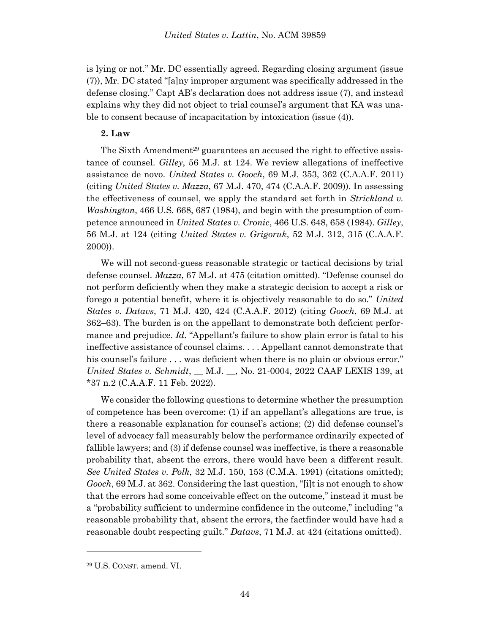is lying or not." Mr. DC essentially agreed. Regarding closing argument (issue (7)), Mr. DC stated "[a]ny improper argument was specifically addressed in the defense closing." Capt AB's declaration does not address issue (7), and instead explains why they did not object to trial counsel's argument that KA was unable to consent because of incapacitation by intoxication (issue (4)).

### **2. Law**

The Sixth Amendment<sup>29</sup> guarantees an accused the right to effective assistance of counsel. *Gilley*, 56 M.J. at 124. We review allegations of ineffective assistance de novo. *United States v. Gooch*, 69 M.J. 353, 362 (C.A.A.F. 2011) (citing *United States v. Mazza*, 67 M.J. 470, 474 (C.A.A.F. 2009)). In assessing the effectiveness of counsel, we apply the standard set forth in *Strickland v. Washington*, 466 U.S. 668, 687 (1984), and begin with the presumption of competence announced in *United States v. Cronic*, 466 U.S. 648, 658 (1984). *Gilley*, 56 M.J. at 124 (citing *United States v. Grigoruk*, 52 M.J. 312, 315 (C.A.A.F. 2000)).

We will not second-guess reasonable strategic or tactical decisions by trial defense counsel. *Mazza*, 67 M.J. at 475 (citation omitted). "Defense counsel do not perform deficiently when they make a strategic decision to accept a risk or forego a potential benefit, where it is objectively reasonable to do so." *United States v. Datavs*, 71 M.J. 420, 424 (C.A.A.F. 2012) (citing *Gooch*, 69 M.J. at 362–63). The burden is on the appellant to demonstrate both deficient performance and prejudice. *Id.* "Appellant's failure to show plain error is fatal to his ineffective assistance of counsel claims. . . . Appellant cannot demonstrate that his counsel's failure . . . was deficient when there is no plain or obvious error." *United States v. Schmidt*, \_\_ M.J. \_\_, No. 21-0004, 2022 CAAF LEXIS 139, at \*37 n.2 (C.A.A.F. 11 Feb. 2022).

We consider the following questions to determine whether the presumption of competence has been overcome: (1) if an appellant's allegations are true, is there a reasonable explanation for counsel's actions; (2) did defense counsel's level of advocacy fall measurably below the performance ordinarily expected of fallible lawyers; and (3) if defense counsel was ineffective, is there a reasonable probability that, absent the errors, there would have been a different result. *See United States v. Polk*, 32 M.J. 150, 153 (C.M.A. 1991) (citations omitted); *Gooch*, 69 M.J. at 362. Considering the last question, "[i]t is not enough to show that the errors had some conceivable effect on the outcome," instead it must be a "probability sufficient to undermine confidence in the outcome," including "a reasonable probability that, absent the errors, the factfinder would have had a reasonable doubt respecting guilt." *Datavs*, 71 M.J. at 424 (citations omitted).

l

<sup>29</sup> U.S. CONST. amend. VI.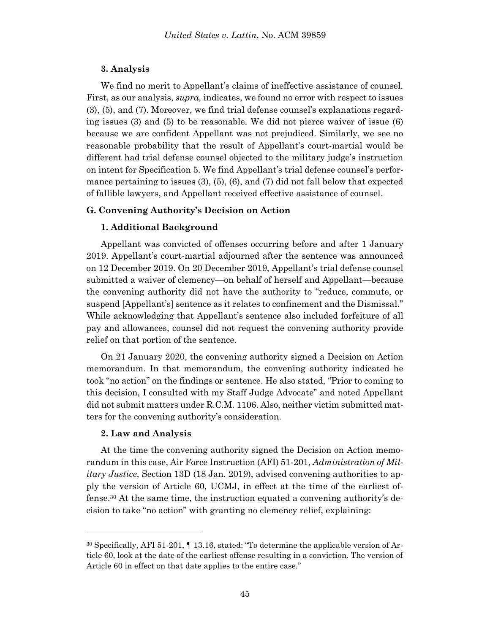### **3. Analysis**

We find no merit to Appellant's claims of ineffective assistance of counsel. First, as our analysis, *supra,* indicates, we found no error with respect to issues (3), (5), and (7). Moreover, we find trial defense counsel's explanations regarding issues (3) and (5) to be reasonable. We did not pierce waiver of issue (6) because we are confident Appellant was not prejudiced. Similarly, we see no reasonable probability that the result of Appellant's court-martial would be different had trial defense counsel objected to the military judge's instruction on intent for Specification 5. We find Appellant's trial defense counsel's performance pertaining to issues  $(3)$ ,  $(5)$ ,  $(6)$ , and  $(7)$  did not fall below that expected of fallible lawyers, and Appellant received effective assistance of counsel.

### **G. Convening Authority's Decision on Action**

### **1. Additional Background**

Appellant was convicted of offenses occurring before and after 1 January 2019. Appellant's court-martial adjourned after the sentence was announced on 12 December 2019. On 20 December 2019, Appellant's trial defense counsel submitted a waiver of clemency—on behalf of herself and Appellant—because the convening authority did not have the authority to "reduce, commute, or suspend [Appellant's] sentence as it relates to confinement and the Dismissal." While acknowledging that Appellant's sentence also included forfeiture of all pay and allowances, counsel did not request the convening authority provide relief on that portion of the sentence.

On 21 January 2020, the convening authority signed a Decision on Action memorandum. In that memorandum, the convening authority indicated he took "no action" on the findings or sentence. He also stated, "Prior to coming to this decision, I consulted with my Staff Judge Advocate" and noted Appellant did not submit matters under R.C.M. 1106. Also, neither victim submitted matters for the convening authority's consideration.

#### **2. Law and Analysis**

l

At the time the convening authority signed the Decision on Action memorandum in this case, Air Force Instruction (AFI) 51-201, *Administration of Military Justice*, Section 13D (18 Jan. 2019), advised convening authorities to apply the version of Article 60, UCMJ, in effect at the time of the earliest offense.<sup>30</sup> At the same time, the instruction equated a convening authority's decision to take "no action" with granting no clemency relief, explaining:

<sup>30</sup> Specifically, AFI 51-201, ¶ 13.16, stated: "To determine the applicable version of Article 60, look at the date of the earliest offense resulting in a conviction. The version of Article 60 in effect on that date applies to the entire case."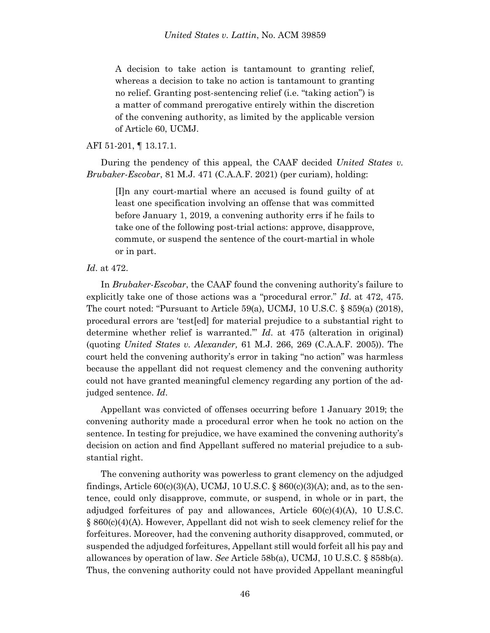A decision to take action is tantamount to granting relief, whereas a decision to take no action is tantamount to granting no relief. Granting post-sentencing relief (i.e. "taking action") is a matter of command prerogative entirely within the discretion of the convening authority, as limited by the applicable version of Article 60, UCMJ.

AFI 51-201, ¶ 13.17.1.

During the pendency of this appeal, the CAAF decided *United States v. Brubaker-Escobar*, 81 M.J. 471 (C.A.A.F. 2021) (per curiam), holding:

[I]n any court-martial where an accused is found guilty of at least one specification involving an offense that was committed before January 1, 2019, a convening authority errs if he fails to take one of the following post-trial actions: approve, disapprove, commute, or suspend the sentence of the court-martial in whole or in part.

### *Id*. at 472.

In *Brubaker-Escobar*, the CAAF found the convening authority's failure to explicitly take one of those actions was a "procedural error." *Id*. at 472, 475. The court noted: "Pursuant to Article 59(a), UCMJ, 10 U.S.C.  $\S$  859(a) (2018), procedural errors are 'test[ed] for material prejudice to a substantial right to determine whether relief is warranted.'" *Id*. at 475 (alteration in original) (quoting *United States v. Alexander,* 61 M.J. 266, 269 (C.A.A.F. 2005)). The court held the convening authority's error in taking "no action" was harmless because the appellant did not request clemency and the convening authority could not have granted meaningful clemency regarding any portion of the adjudged sentence. *Id*.

Appellant was convicted of offenses occurring before 1 January 2019; the convening authority made a procedural error when he took no action on the sentence. In testing for prejudice, we have examined the convening authority's decision on action and find Appellant suffered no material prejudice to a substantial right.

The convening authority was powerless to grant clemency on the adjudged findings, Article  $60(c)(3)(A)$ , UCMJ, 10 U.S.C. §  $860(c)(3)(A)$ ; and, as to the sentence, could only disapprove, commute, or suspend, in whole or in part, the adjudged forfeitures of pay and allowances, Article 60(c)(4)(A), 10 U.S.C.  $\S 860(c)(4)(A)$ . However, Appellant did not wish to seek clemency relief for the forfeitures. Moreover, had the convening authority disapproved, commuted, or suspended the adjudged forfeitures, Appellant still would forfeit all his pay and allowances by operation of law. *See* Article 58b(a), UCMJ, 10 U.S.C. § 858b(a). Thus, the convening authority could not have provided Appellant meaningful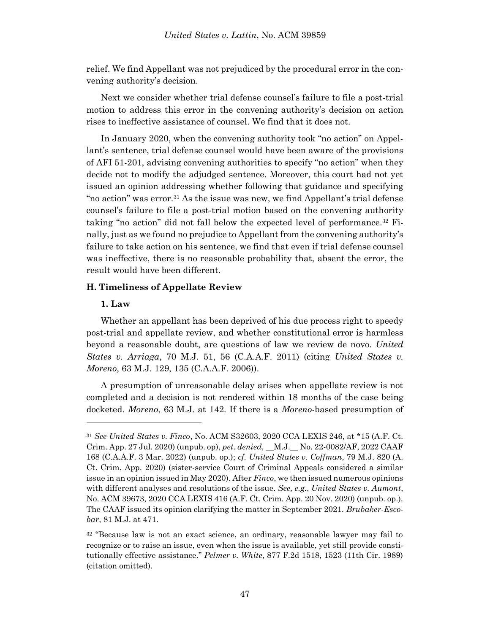relief. We find Appellant was not prejudiced by the procedural error in the convening authority's decision.

Next we consider whether trial defense counsel's failure to file a post-trial motion to address this error in the convening authority's decision on action rises to ineffective assistance of counsel. We find that it does not.

In January 2020, when the convening authority took "no action" on Appellant's sentence, trial defense counsel would have been aware of the provisions of AFI 51-201, advising convening authorities to specify "no action" when they decide not to modify the adjudged sentence. Moreover, this court had not yet issued an opinion addressing whether following that guidance and specifying "no action" was error.<sup>31</sup> As the issue was new, we find Appellant's trial defense counsel's failure to file a post-trial motion based on the convening authority taking "no action" did not fall below the expected level of performance.<sup>32</sup> Finally, just as we found no prejudice to Appellant from the convening authority's failure to take action on his sentence, we find that even if trial defense counsel was ineffective, there is no reasonable probability that, absent the error, the result would have been different.

### **H. Timeliness of Appellate Review**

### **1. Law**

Whether an appellant has been deprived of his due process right to speedy post-trial and appellate review, and whether constitutional error is harmless beyond a reasonable doubt, are questions of law we review de novo. *United States v. Arriaga*, 70 M.J. 51, 56 (C.A.A.F. 2011) (citing *United States v. Moreno*, 63 M.J. 129, 135 (C.A.A.F. 2006)).

A presumption of unreasonable delay arises when appellate review is not completed and a decision is not rendered within 18 months of the case being docketed. *Moreno*, 63 M.J. at 142. If there is a *Moreno*-based presumption of

<sup>31</sup> *See United States v. Finco*, No. ACM S32603, 2020 CCA LEXIS 246, at \*15 (A.F. Ct. Crim. App. 27 Jul. 2020) (unpub. op), *pet. denied, \_\_*M.J.*\_\_* No. 22-0082/AF, 2022 CAAF 168 (C.A.A.F. 3 Mar. 2022) (unpub. op.); *cf. United States v. Coffman*, 79 M.J. 820 (A. Ct. Crim. App. 2020) (sister-service Court of Criminal Appeals considered a similar issue in an opinion issued in May 2020). After *Finco*, we then issued numerous opinions with different analyses and resolutions of the issue. *See, e.g.*, *United States v. Aumont*, No. ACM 39673, 2020 CCA LEXIS 416 (A.F. Ct. Crim. App. 20 Nov. 2020) (unpub. op.). The CAAF issued its opinion clarifying the matter in September 2021. *Brubaker-Escobar*, 81 M.J. at 471.

<sup>32</sup> "Because law is not an exact science, an ordinary, reasonable lawyer may fail to recognize or to raise an issue, even when the issue is available, yet still provide constitutionally effective assistance." *Pelmer v. White*, 877 F.2d 1518, 1523 (11th Cir. 1989) (citation omitted).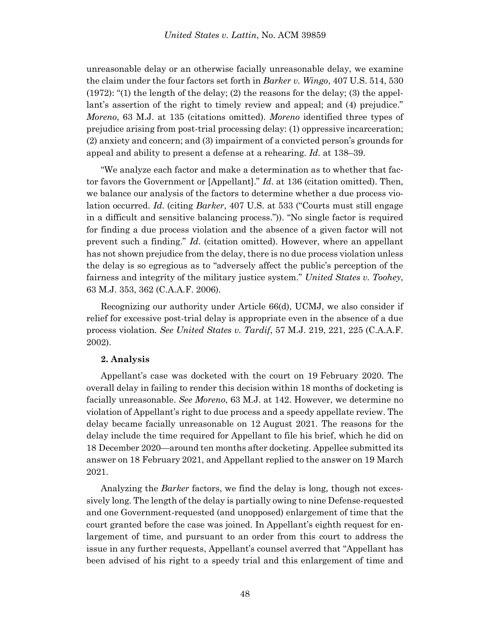unreasonable delay or an otherwise facially unreasonable delay, we examine the claim under the four factors set forth in *Barker v. Wingo*, 407 U.S. 514, 530 (1972): "(1) the length of the delay; (2) the reasons for the delay; (3) the appellant's assertion of the right to timely review and appeal; and (4) prejudice." *Moreno*, 63 M.J. at 135 (citations omitted). *Moreno* identified three types of prejudice arising from post-trial processing delay: (1) oppressive incarceration; (2) anxiety and concern; and (3) impairment of a convicted person's grounds for appeal and ability to present a defense at a rehearing. *Id*. at 138–39.

"We analyze each factor and make a determination as to whether that factor favors the Government or [Appellant]." *Id*. at 136 (citation omitted). Then, we balance our analysis of the factors to determine whether a due process violation occurred. *Id*. (citing *Barker*, 407 U.S. at 533 ("Courts must still engage in a difficult and sensitive balancing process.")). "No single factor is required for finding a due process violation and the absence of a given factor will not prevent such a finding." *Id*. (citation omitted). However, where an appellant has not shown prejudice from the delay, there is no due process violation unless the delay is so egregious as to "adversely affect the public's perception of the fairness and integrity of the military justice system." *United States v. Toohey*, 63 M.J. 353, 362 (C.A.A.F. 2006).

Recognizing our authority under Article 66(d), UCMJ, we also consider if relief for excessive post-trial delay is appropriate even in the absence of a due process violation. *See United States v. Tardif*, 57 M.J. 219, 221, 225 (C.A.A.F. 2002).

#### **2. Analysis**

Appellant's case was docketed with the court on 19 February 2020. The overall delay in failing to render this decision within 18 months of docketing is facially unreasonable. *See Moreno*, 63 M.J. at 142. However, we determine no violation of Appellant's right to due process and a speedy appellate review. The delay became facially unreasonable on 12 August 2021. The reasons for the delay include the time required for Appellant to file his brief, which he did on 18 December 2020—around ten months after docketing. Appellee submitted its answer on 18 February 2021, and Appellant replied to the answer on 19 March 2021.

Analyzing the *Barker* factors, we find the delay is long, though not excessively long. The length of the delay is partially owing to nine Defense-requested and one Government-requested (and unopposed) enlargement of time that the court granted before the case was joined. In Appellant's eighth request for enlargement of time, and pursuant to an order from this court to address the issue in any further requests, Appellant's counsel averred that "Appellant has been advised of his right to a speedy trial and this enlargement of time and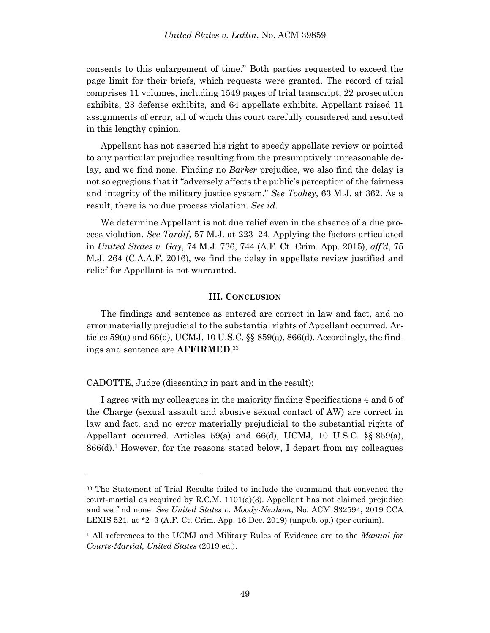consents to this enlargement of time." Both parties requested to exceed the page limit for their briefs, which requests were granted. The record of trial comprises 11 volumes, including 1549 pages of trial transcript, 22 prosecution exhibits, 23 defense exhibits, and 64 appellate exhibits. Appellant raised 11 assignments of error, all of which this court carefully considered and resulted in this lengthy opinion.

Appellant has not asserted his right to speedy appellate review or pointed to any particular prejudice resulting from the presumptively unreasonable delay, and we find none. Finding no *Barker* prejudice, we also find the delay is not so egregious that it "adversely affects the public's perception of the fairness and integrity of the military justice system." *See Toohey*, 63 M.J. at 362. As a result, there is no due process violation. *See id*.

We determine Appellant is not due relief even in the absence of a due process violation. *See Tardif*, 57 M.J. at 223–24. Applying the factors articulated in *United States v. Gay*, 74 M.J. 736, 744 (A.F. Ct. Crim. App. 2015), *aff'd*, 75 M.J. 264 (C.A.A.F. 2016), we find the delay in appellate review justified and relief for Appellant is not warranted.

#### **III. CONCLUSION**

The findings and sentence as entered are correct in law and fact, and no error materially prejudicial to the substantial rights of Appellant occurred. Articles 59(a) and 66(d), UCMJ, 10 U.S.C. §§ 859(a), 866(d). Accordingly, the findings and sentence are **AFFIRMED**. 33

CADOTTE, Judge (dissenting in part and in the result):

l

I agree with my colleagues in the majority finding Specifications 4 and 5 of the Charge (sexual assault and abusive sexual contact of AW) are correct in law and fact, and no error materially prejudicial to the substantial rights of Appellant occurred. Articles 59(a) and 66(d), UCMJ, 10 U.S.C. §§ 859(a), 866(d).<sup>1</sup> However, for the reasons stated below, I depart from my colleagues

<sup>33</sup> The Statement of Trial Results failed to include the command that convened the court-martial as required by R.C.M.  $1101(a)(3)$ . Appellant has not claimed prejudice and we find none. *See United States v. Moody-Neukom*, No. ACM S32594, 2019 CCA LEXIS 521, at \*2–3 (A.F. Ct. Crim. App. 16 Dec. 2019) (unpub. op.) (per curiam).

<sup>1</sup> All references to the UCMJ and Military Rules of Evidence are to the *Manual for Courts-Martial, United States* (2019 ed.).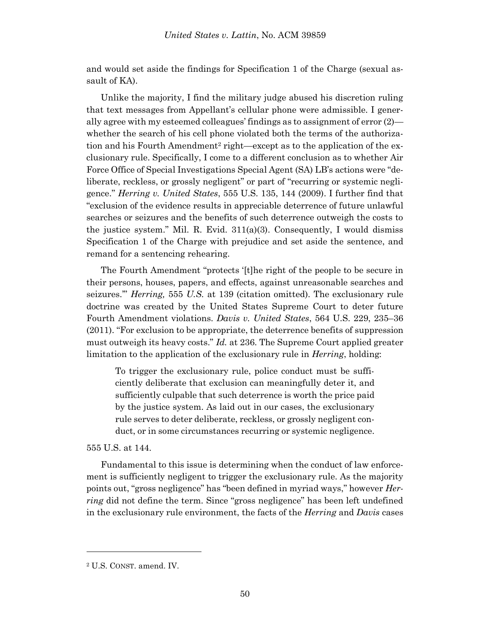and would set aside the findings for Specification 1 of the Charge (sexual assault of KA).

Unlike the majority, I find the military judge abused his discretion ruling that text messages from Appellant's cellular phone were admissible. I generally agree with my esteemed colleagues' findings as to assignment of error (2) whether the search of his cell phone violated both the terms of the authorization and his Fourth Amendment<sup>2</sup> right—except as to the application of the exclusionary rule. Specifically, I come to a different conclusion as to whether Air Force Office of Special Investigations Special Agent (SA) LB's actions were "deliberate, reckless, or grossly negligent" or part of "recurring or systemic negligence." *Herring v. United States*[, 555 U.S. 135, 144 \(2009\).](https://plus.lexis.com/document/documentlink/?pdmfid=1530671&crid=f5527593-5e97-4274-ab6c-442339eec845&pddocfullpath=%2Fshared%2Fdocument%2Fcases%2Furn%3AcontentItem%3A4VCG-DT90-TXFX-12BC-00000-00&pdcontentcomponentid=6443&pdproductcontenttypeid=urn%3Apct%3A30&pdiskwicview=false&pdpinpoint=PAGE_140_1100&prid=8bf46905-a8bf-45ba-971c-028a19fd25d9&ecomp=bgktk) I further find that "exclusion of the evidence results in appreciable deterrence of future unlawful searches or seizures and the benefits of such deterrence outweigh the costs to the justice system." Mil. R. Evid.  $311(a)(3)$ . Consequently, I would dismiss Specification 1 of the Charge with prejudice and set aside the sentence, and remand for a sentencing rehearing.

The Fourth Amendment "protects '[t]he right of the people to be secure in their persons, houses, papers, and effects, against unreasonable searches and seizures.'" *Herring,* 555 *U.S.* at 139 (citation omitted). The exclusionary rule doctrine was created by the United States Supreme Court to deter future Fourth Amendment violations. *Davis v. United States*, 564 U.S. 229, 235–36 (2011). "For exclusion to be appropriate, the deterrence benefits of suppression must outweigh its heavy costs." *Id.* at 236. The Supreme Court applied greater limitation to the application of the exclusionary rule in *Herring*, holding:

To trigger the exclusionary rule, police conduct must be sufficiently deliberate that exclusion can meaningfully deter it, and sufficiently culpable that such deterrence is worth the price paid by the justice system. As laid out in our cases, the exclusionary rule serves to deter deliberate, reckless, or grossly negligent conduct, or in some circumstances recurring or systemic negligence.

555 U.S. at 144.

Fundamental to this issue is determining when the conduct of law enforcement is sufficiently negligent to trigger the exclusionary rule. As the majority points out, "gross negligence" has "been defined in myriad ways," however *Herring* did not define the term. Since "gross negligence" has been left undefined in the exclusionary rule environment, the facts of the *Herring* and *Davis* cases

l

<sup>2</sup> U.S. CONST. amend. IV.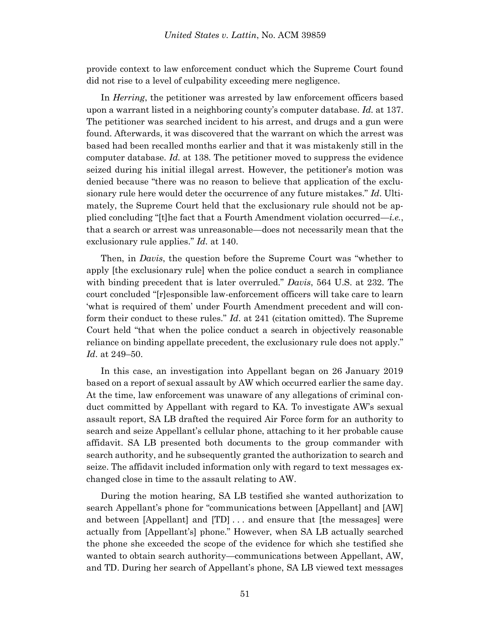provide context to law enforcement conduct which the Supreme Court found did not rise to a level of culpability exceeding mere negligence.

In *Herring*, the petitioner was arrested by law enforcement officers based upon a warrant listed in a neighboring county's computer database. *Id.* at 137. The petitioner was searched incident to his arrest, and drugs and a gun were found. Afterwards, it was discovered that the warrant on which the arrest was based had been recalled months earlier and that it was mistakenly still in the computer database. *Id.* at 138. The petitioner moved to suppress the evidence seized during his initial illegal arrest. However, the petitioner's motion was denied because "there was no reason to believe that application of the exclusionary rule here would deter the occurrence of any future mistakes." *Id*. Ultimately, the Supreme Court held that the exclusionary rule should not be applied concluding "[t]he fact that a Fourth Amendment violation occurred—*i.e.*, that a search or arrest was unreasonable—does not necessarily mean that the exclusionary rule applies." *Id.* at 140.

Then, in *Davis*, the question before the Supreme Court was "whether to apply [the exclusionary rule] when the police conduct a search in compliance with binding precedent that is later overruled." *Davis*, 564 U.S. at 232. The court concluded "[r]esponsible law-enforcement officers will take care to learn 'what is required of them' under Fourth Amendment precedent and will conform their conduct to these rules." *Id*. at 241 (citation omitted). The Supreme Court held "that when the police conduct a search in objectively reasonable reliance on binding appellate precedent, the exclusionary rule does not apply." *Id*. at 249–50.

In this case, an investigation into Appellant began on 26 January 2019 based on a report of sexual assault by AW which occurred earlier the same day. At the time, law enforcement was unaware of any allegations of criminal conduct committed by Appellant with regard to KA. To investigate AW's sexual assault report, SA LB drafted the required Air Force form for an authority to search and seize Appellant's cellular phone, attaching to it her probable cause affidavit. SA LB presented both documents to the group commander with search authority, and he subsequently granted the authorization to search and seize. The affidavit included information only with regard to text messages exchanged close in time to the assault relating to AW.

During the motion hearing, SA LB testified she wanted authorization to search Appellant's phone for "communications between [Appellant] and [AW] and between [Appellant] and [TD] . . . and ensure that [the messages] were actually from [Appellant's] phone." However, when SA LB actually searched the phone she exceeded the scope of the evidence for which she testified she wanted to obtain search authority—communications between Appellant, AW, and TD. During her search of Appellant's phone, SA LB viewed text messages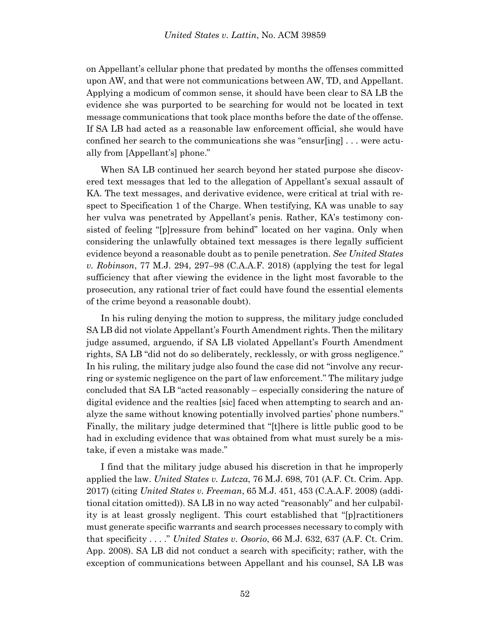on Appellant's cellular phone that predated by months the offenses committed upon AW, and that were not communications between AW, TD, and Appellant. Applying a modicum of common sense, it should have been clear to SA LB the evidence she was purported to be searching for would not be located in text message communications that took place months before the date of the offense. If SA LB had acted as a reasonable law enforcement official, she would have confined her search to the communications she was "ensur[ing] . . . were actually from [Appellant's] phone."

When SA LB continued her search beyond her stated purpose she discovered text messages that led to the allegation of Appellant's sexual assault of KA. The text messages, and derivative evidence, were critical at trial with respect to Specification 1 of the Charge. When testifying, KA was unable to say her vulva was penetrated by Appellant's penis. Rather, KA's testimony consisted of feeling "[p]ressure from behind" located on her vagina. Only when considering the unlawfully obtained text messages is there legally sufficient evidence beyond a reasonable doubt as to penile penetration. *See United States v. Robinson*, 77 M.J. 294, 297–98 (C.A.A.F. 2018) (applying the test for legal sufficiency that after viewing the evidence in the light most favorable to the prosecution, any rational trier of fact could have found the essential elements of the crime beyond a reasonable doubt).

In his ruling denying the motion to suppress, the military judge concluded SA LB did not violate Appellant's Fourth Amendment rights. Then the military judge assumed, arguendo, if SA LB violated Appellant's Fourth Amendment rights, SA LB "did not do so deliberately, recklessly, or with gross negligence." In his ruling, the military judge also found the case did not "involve any recurring or systemic negligence on the part of law enforcement." The military judge concluded that SA LB "acted reasonably – especially considering the nature of digital evidence and the realties [sic] faced when attempting to search and analyze the same without knowing potentially involved parties' phone numbers." Finally, the military judge determined that "[t]here is little public good to be had in excluding evidence that was obtained from what must surely be a mistake, if even a mistake was made."

I find that the military judge abused his discretion in that he improperly applied the law. *United States v. Lutcza*, 76 M.J. 698, 701 (A.F. Ct. Crim. App. 2017) (citing *United States v. Freeman*, 65 M.J. 451, 453 (C.A.A.F. 2008) (additional citation omitted)). SA LB in no way acted "reasonably" and her culpability is at least grossly negligent. This court established that "[p]ractitioners must generate specific warrants and search processes necessary to comply with that specificity . . . ." *United States v. Osorio*, 66 M.J. 632, 637 (A.F. Ct. Crim. App. 2008). SA LB did not conduct a search with specificity; rather, with the exception of communications between Appellant and his counsel, SA LB was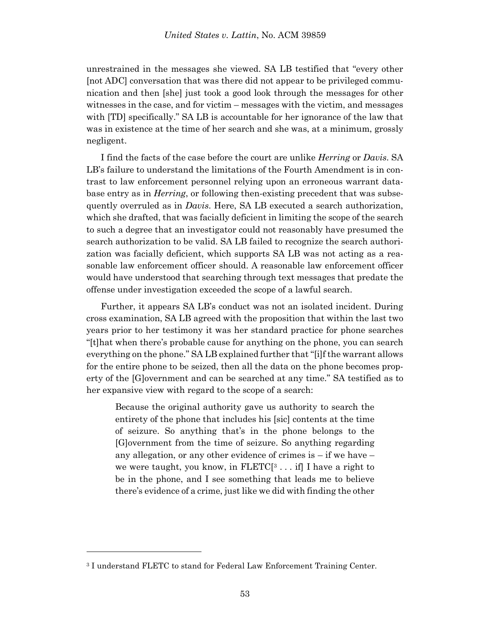unrestrained in the messages she viewed. SA LB testified that "every other [not ADC] conversation that was there did not appear to be privileged communication and then [she] just took a good look through the messages for other witnesses in the case, and for victim – messages with the victim, and messages with [TD] specifically." SA LB is accountable for her ignorance of the law that was in existence at the time of her search and she was, at a minimum, grossly negligent.

I find the facts of the case before the court are unlike *Herring* or *Davis*. SA LB's failure to understand the limitations of the Fourth Amendment is in contrast to law enforcement personnel relying upon an erroneous warrant database entry as in *Herring*, or following then-existing precedent that was subsequently overruled as in *Davis*. Here, SA LB executed a search authorization, which she drafted, that was facially deficient in limiting the scope of the search to such a degree that an investigator could not reasonably have presumed the search authorization to be valid. SA LB failed to recognize the search authorization was facially deficient, which supports SA LB was not acting as a reasonable law enforcement officer should. A reasonable law enforcement officer would have understood that searching through text messages that predate the offense under investigation exceeded the scope of a lawful search.

Further, it appears SA LB's conduct was not an isolated incident. During cross examination, SA LB agreed with the proposition that within the last two years prior to her testimony it was her standard practice for phone searches "[t]hat when there's probable cause for anything on the phone, you can search everything on the phone." SA LB explained further that "[i]f the warrant allows for the entire phone to be seized, then all the data on the phone becomes property of the [G]overnment and can be searched at any time." SA testified as to her expansive view with regard to the scope of a search:

Because the original authority gave us authority to search the entirety of the phone that includes his [sic] contents at the time of seizure. So anything that's in the phone belongs to the [G]overnment from the time of seizure. So anything regarding any allegation, or any other evidence of crimes is – if we have – we were taught, you know, in  $FLETC[3... if]$  I have a right to be in the phone, and I see something that leads me to believe there's evidence of a crime, just like we did with finding the other

l

<sup>3</sup> I understand FLETC to stand for Federal Law Enforcement Training Center.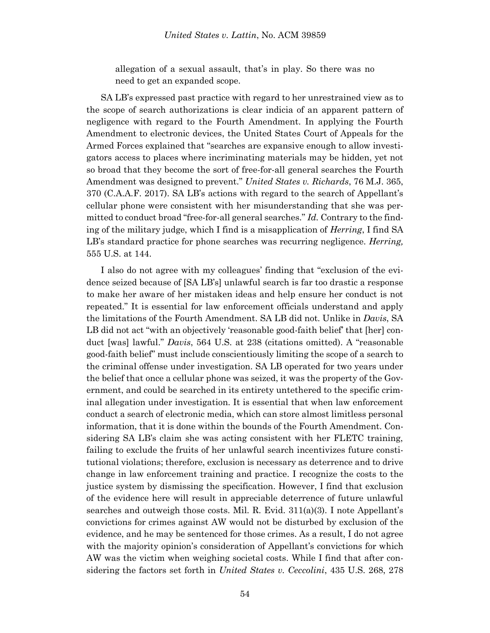allegation of a sexual assault, that's in play. So there was no need to get an expanded scope.

SA LB's expressed past practice with regard to her unrestrained view as to the scope of search authorizations is clear indicia of an apparent pattern of negligence with regard to the Fourth Amendment. In applying the Fourth Amendment to electronic devices, the United States Court of Appeals for the Armed Forces explained that "searches are expansive enough to allow investigators access to places where incriminating materials may be hidden, yet not so broad that they become the sort of free-for-all general searches the Fourth Amendment was designed to prevent." *United States v. Richards*, 76 M.J. 365, 370 (C.A.A.F. 2017). SA LB's actions with regard to the search of Appellant's cellular phone were consistent with her misunderstanding that she was permitted to conduct broad "free-for-all general searches." *Id.* Contrary to the finding of the military judge, which I find is a misapplication of *Herring*, I find SA LB's standard practice for phone searches was recurring negligence. *Herring,*  555 U.S. at 144.

I also do not agree with my colleagues' finding that "exclusion of the evidence seized because of [SA LB's] unlawful search is far too drastic a response to make her aware of her mistaken ideas and help ensure her conduct is not repeated." It is essential for law enforcement officials understand and apply the limitations of the Fourth Amendment. SA LB did not. Unlike in *Davis*, SA LB did not act "with an objectively 'reasonable good-faith belief' that [her] conduct [was] lawful." *Davis*, 564 U.S. at 238 (citations omitted). A "reasonable good-faith belief" must include conscientiously limiting the scope of a search to the criminal offense under investigation. SA LB operated for two years under the belief that once a cellular phone was seized, it was the property of the Government, and could be searched in its entirety untethered to the specific criminal allegation under investigation. It is essential that when law enforcement conduct a search of electronic media, which can store almost limitless personal information, that it is done within the bounds of the Fourth Amendment. Considering SA LB's claim she was acting consistent with her FLETC training, failing to exclude the fruits of her unlawful search incentivizes future constitutional violations; therefore, exclusion is necessary as deterrence and to drive change in law enforcement training and practice. I recognize the costs to the justice system by dismissing the specification. However, I find that exclusion of the evidence here will result in appreciable deterrence of future unlawful searches and outweigh those costs. Mil. R. Evid. 311(a)(3). I note Appellant's convictions for crimes against AW would not be disturbed by exclusion of the evidence, and he may be sentenced for those crimes. As a result, I do not agree with the majority opinion's consideration of Appellant's convictions for which AW was the victim when weighing societal costs. While I find that after considering the factors set forth in *United States v. Ceccolini*, 435 U.S. 268, 278